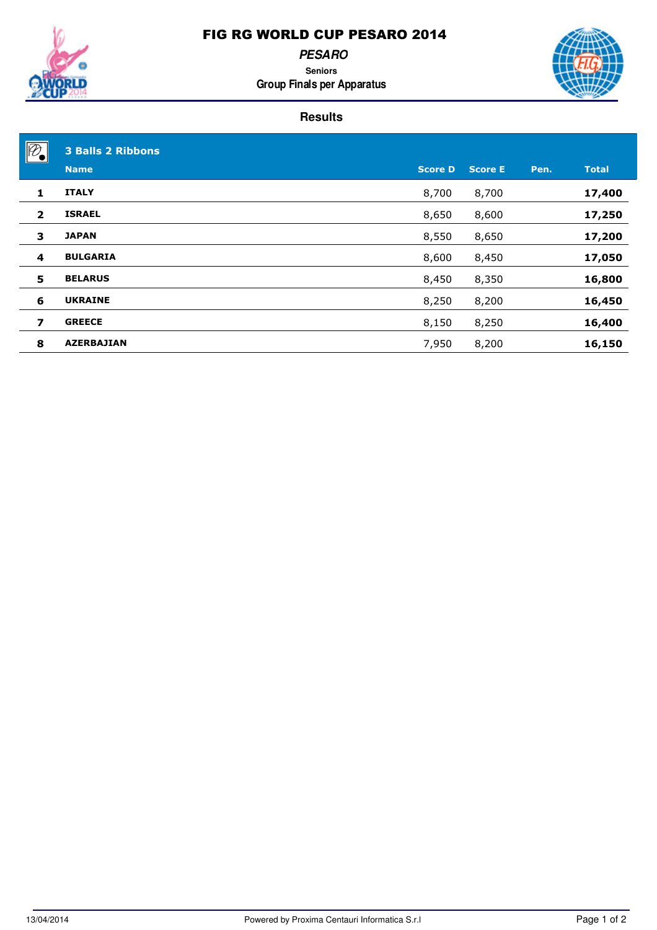

**PESARO**

**Seniors Group Finals per Apparatus**



| $\sqrt{\mathcal{P}}$    | <b>3 Balls 2 Ribbons</b> |                |                |      |              |
|-------------------------|--------------------------|----------------|----------------|------|--------------|
|                         | <b>Name</b>              | <b>Score D</b> | <b>Score E</b> | Pen. | <b>Total</b> |
| 1                       | <b>ITALY</b>             | 8,700          | 8,700          |      | 17,400       |
| $\overline{2}$          | <b>ISRAEL</b>            | 8,650          | 8,600          |      | 17,250       |
| 3                       | <b>JAPAN</b>             | 8,550          | 8,650          |      | 17,200       |
| $\overline{\mathbf{4}}$ | <b>BULGARIA</b>          | 8,600          | 8,450          |      | 17,050       |
| 5                       | <b>BELARUS</b>           | 8,450          | 8,350          |      | 16,800       |
| 6                       | <b>UKRAINE</b>           | 8,250          | 8,200          |      | 16,450       |
| $\overline{\mathbf{z}}$ | <b>GREECE</b>            | 8,150          | 8,250          |      | 16,400       |
| 8                       | <b>AZERBAJIAN</b>        | 7,950          | 8,200          |      | 16,150       |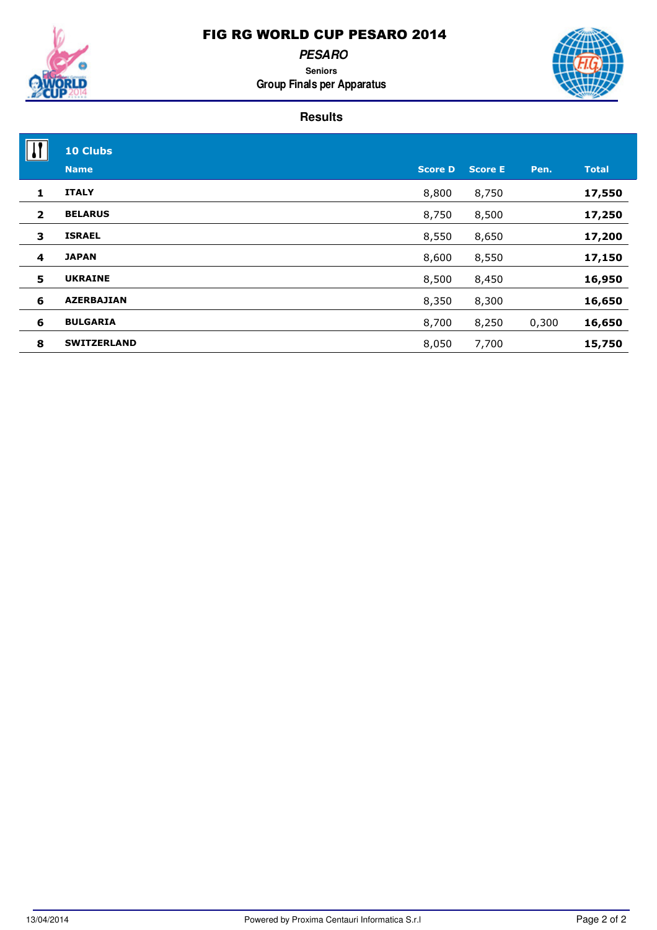**PESARO**

**Seniors Group Finals per Apparatus**



|                | <b>10 Clubs</b>    |                |                |       |              |
|----------------|--------------------|----------------|----------------|-------|--------------|
|                | <b>Name</b>        | <b>Score D</b> | <b>Score E</b> | Pen.  | <b>Total</b> |
| 1              | <b>ITALY</b>       | 8,800          | 8,750          |       | 17,550       |
| $\overline{2}$ | <b>BELARUS</b>     | 8,750          | 8,500          |       | 17,250       |
| 3              | <b>ISRAEL</b>      | 8,550          | 8,650          |       | 17,200       |
| 4              | <b>JAPAN</b>       | 8,600          | 8,550          |       | 17,150       |
| 5              | <b>UKRAINE</b>     | 8,500          | 8,450          |       | 16,950       |
| 6              | <b>AZERBAJIAN</b>  | 8,350          | 8,300          |       | 16,650       |
| 6              | <b>BULGARIA</b>    | 8,700          | 8,250          | 0,300 | 16,650       |
| 8              | <b>SWITZERLAND</b> | 8,050          | 7,700          |       | 15,750       |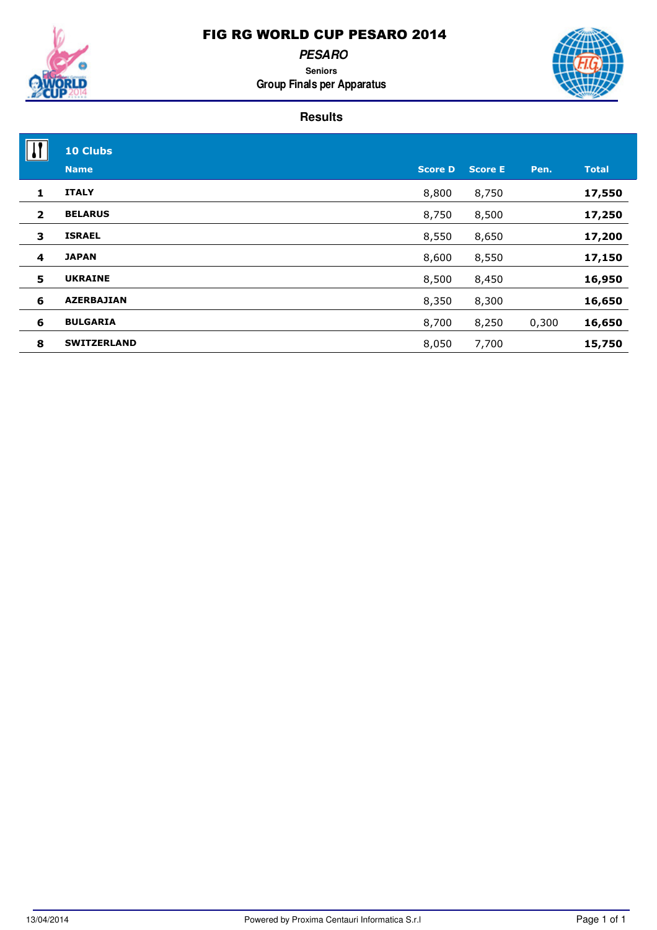**PESARO**

**Seniors Group Finals per Apparatus**



|                | <b>10 Clubs</b>    |                |                |       |              |
|----------------|--------------------|----------------|----------------|-------|--------------|
|                | <b>Name</b>        | <b>Score D</b> | <b>Score E</b> | Pen.  | <b>Total</b> |
| 1              | <b>ITALY</b>       | 8,800          | 8,750          |       | 17,550       |
| $\overline{2}$ | <b>BELARUS</b>     | 8,750          | 8,500          |       | 17,250       |
| 3              | <b>ISRAEL</b>      | 8,550          | 8,650          |       | 17,200       |
| 4              | <b>JAPAN</b>       | 8,600          | 8,550          |       | 17,150       |
| 5              | <b>UKRAINE</b>     | 8,500          | 8,450          |       | 16,950       |
| 6              | <b>AZERBAJIAN</b>  | 8,350          | 8,300          |       | 16,650       |
| 6              | <b>BULGARIA</b>    | 8,700          | 8,250          | 0,300 | 16,650       |
| 8              | <b>SWITZERLAND</b> | 8,050          | 7,700          |       | 15,750       |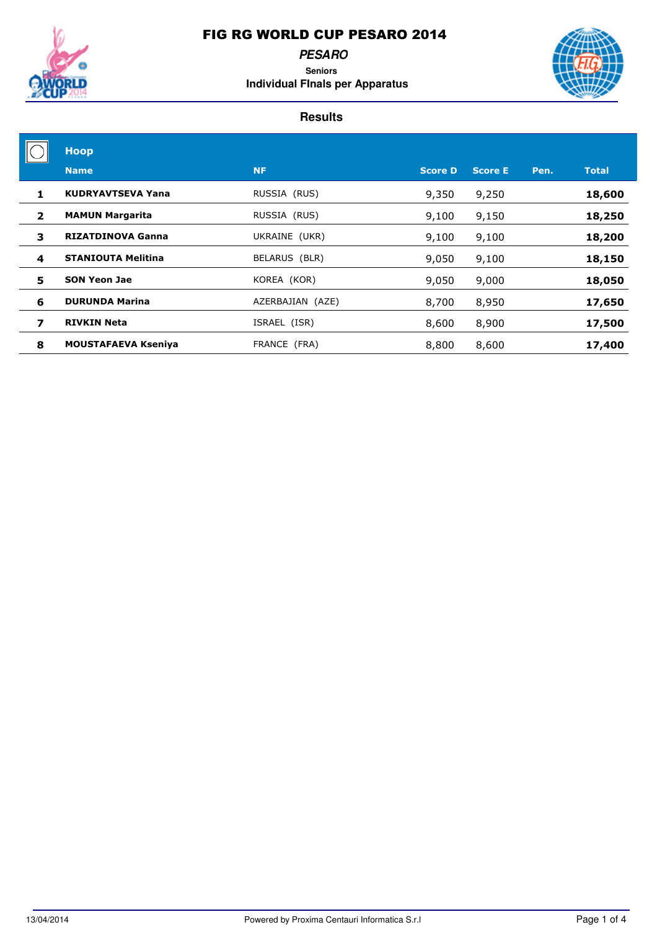

**PESARO Seniors Individual FInals per Apparatus**



| <b>Hoop</b>                |                  |                |                |      |              |
|----------------------------|------------------|----------------|----------------|------|--------------|
| <b>Name</b>                | <b>NF</b>        | <b>Score D</b> | <b>Score E</b> | Pen. | <b>Total</b> |
| <b>KUDRYAVTSEVA Yana</b>   | RUSSIA (RUS)     | 9,350          | 9,250          |      | 18,600       |
| <b>MAMUN Margarita</b>     | RUSSIA (RUS)     | 9,100          | 9,150          |      | 18,250       |
| <b>RIZATDINOVA Ganna</b>   | UKRAINE (UKR)    | 9,100          | 9,100          |      | 18,200       |
| <b>STANIOUTA Melitina</b>  | BELARUS (BLR)    | 9,050          | 9,100          |      | 18,150       |
| <b>SON Yeon Jae</b>        | KOREA (KOR)      | 9,050          | 9,000          |      | 18,050       |
| <b>DURUNDA Marina</b>      | AZERBAJIAN (AZE) | 8,700          | 8,950          |      | 17,650       |
| <b>RIVKIN Neta</b>         | ISRAEL (ISR)     | 8,600          | 8,900          |      | 17,500       |
| <b>MOUSTAFAEVA Kseniya</b> | FRANCE (FRA)     | 8,800          | 8,600          |      | 17,400       |
|                            |                  |                |                |      |              |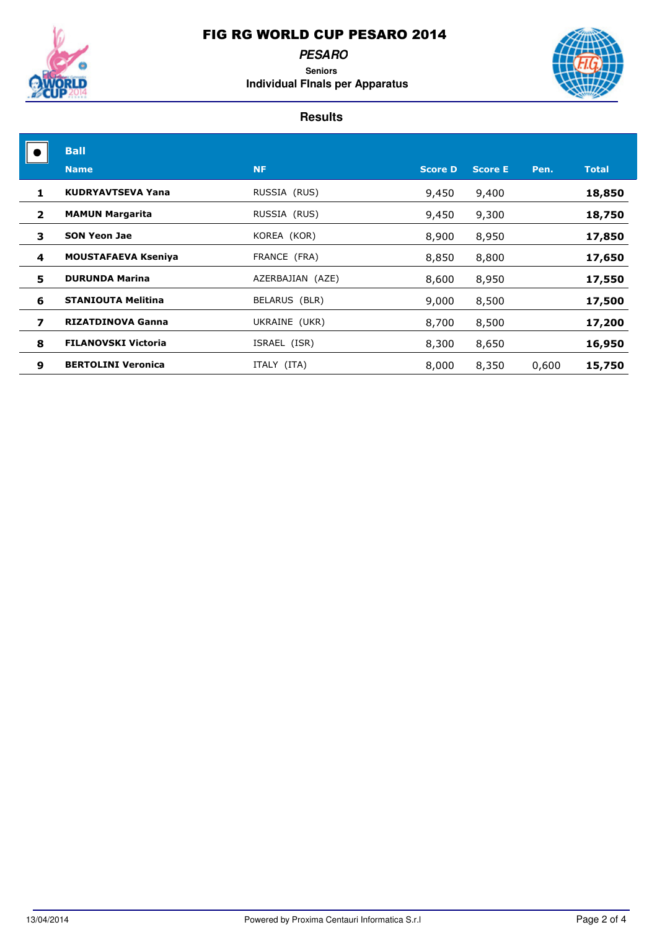

### **PESARO Seniors**





|                | <b>Ball</b>                |                  |                |                |       |              |
|----------------|----------------------------|------------------|----------------|----------------|-------|--------------|
|                | <b>Name</b>                | <b>NF</b>        | <b>Score D</b> | <b>Score E</b> | Pen.  | <b>Total</b> |
| 1.             | <b>KUDRYAVTSEVA Yana</b>   | RUSSIA (RUS)     | 9,450          | 9,400          |       | 18,850       |
| $\overline{2}$ | <b>MAMUN Margarita</b>     | RUSSIA (RUS)     | 9,450          | 9,300          |       | 18,750       |
| 3              | <b>SON Yeon Jae</b>        | KOREA (KOR)      | 8,900          | 8,950          |       | 17,850       |
| 4              | <b>MOUSTAFAEVA Kseniya</b> | FRANCE (FRA)     | 8,850          | 8,800          |       | 17,650       |
| 5              | <b>DURUNDA Marina</b>      | AZERBAJIAN (AZE) | 8,600          | 8,950          |       | 17,550       |
| 6              | <b>STANIOUTA Melitina</b>  | BELARUS (BLR)    | 9,000          | 8,500          |       | 17,500       |
| 7              | <b>RIZATDINOVA Ganna</b>   | UKRAINE (UKR)    | 8,700          | 8,500          |       | 17,200       |
| 8              | <b>FILANOVSKI Victoria</b> | ISRAEL (ISR)     | 8,300          | 8,650          |       | 16,950       |
| 9              | <b>BERTOLINI Veronica</b>  | ITALY (ITA)      | 8,000          | 8,350          | 0,600 | 15,750       |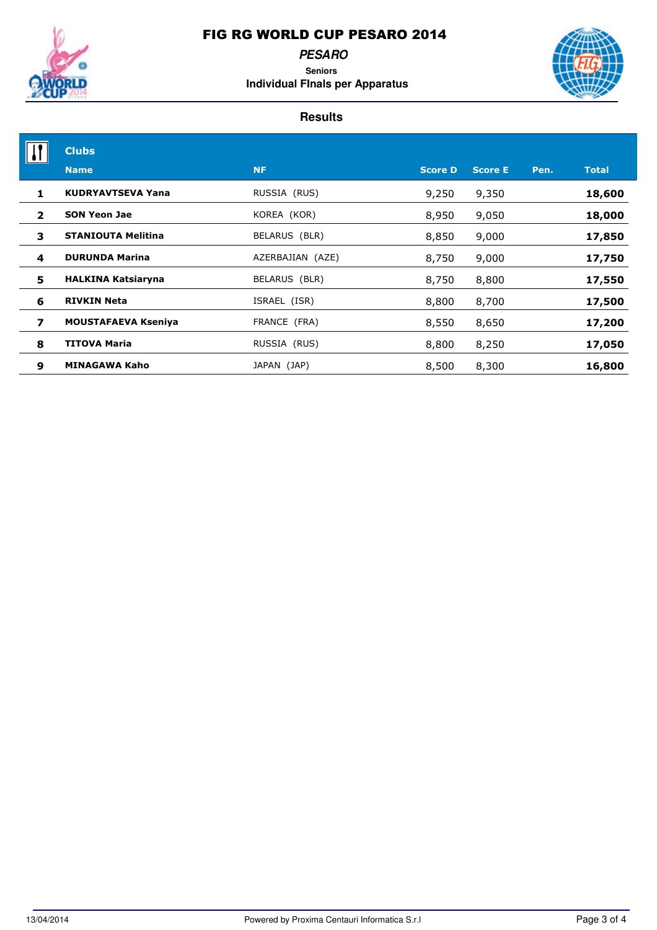

**PESARO Seniors Individual FInals per Apparatus**



|                | <b>Clubs</b>               |                  |                |                |      |              |
|----------------|----------------------------|------------------|----------------|----------------|------|--------------|
|                | <b>Name</b>                | <b>NF</b>        | <b>Score D</b> | <b>Score E</b> | Pen. | <b>Total</b> |
| 1              | <b>KUDRYAVTSEVA Yana</b>   | RUSSIA (RUS)     | 9,250          | 9,350          |      | 18,600       |
| $\overline{2}$ | <b>SON Yeon Jae</b>        | KOREA (KOR)      | 8,950          | 9,050          |      | 18,000       |
| 3              | <b>STANIOUTA Melitina</b>  | BELARUS (BLR)    | 8,850          | 9,000          |      | 17,850       |
| 4              | <b>DURUNDA Marina</b>      | AZERBAJIAN (AZE) | 8,750          | 9,000          |      | 17,750       |
| 5              | <b>HALKINA Katsiaryna</b>  | BELARUS (BLR)    | 8,750          | 8,800          |      | 17,550       |
| 6              | <b>RIVKIN Neta</b>         | ISRAEL (ISR)     | 8,800          | 8,700          |      | 17,500       |
| 7              | <b>MOUSTAFAEVA Kseniya</b> | FRANCE (FRA)     | 8,550          | 8,650          |      | 17,200       |
| 8              | <b>TITOVA Maria</b>        | RUSSIA (RUS)     | 8,800          | 8,250          |      | 17,050       |
| 9              | <b>MINAGAWA Kaho</b>       | JAPAN (JAP)      | 8,500          | 8,300          |      | 16,800       |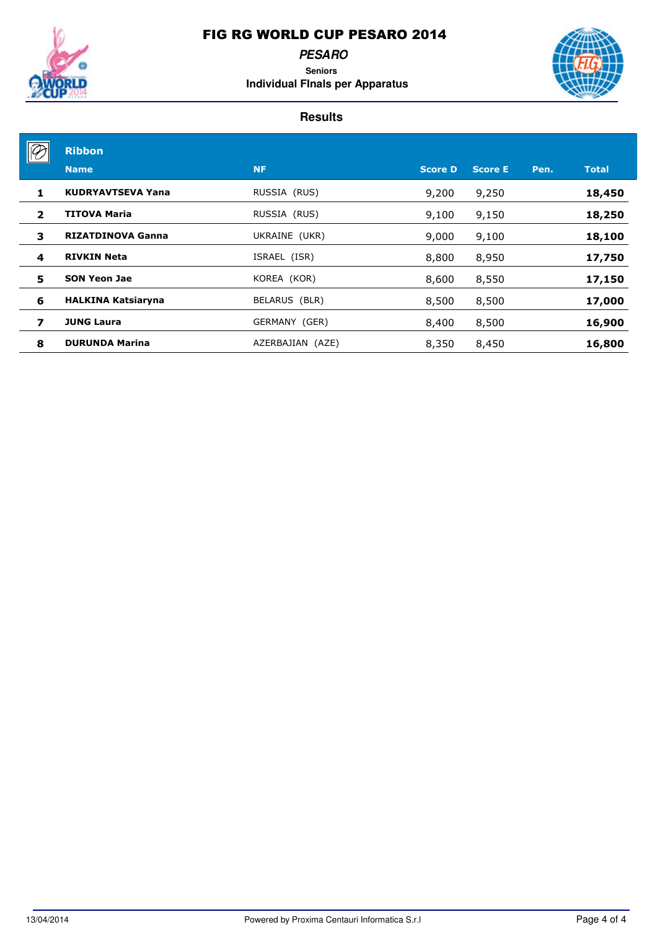

**PESARO Seniors**

**Individual FInals per Apparatus**



|                | <b>Ribbon</b>             |                  |                |                |      |              |
|----------------|---------------------------|------------------|----------------|----------------|------|--------------|
|                | <b>Name</b>               | <b>NF</b>        | <b>Score D</b> | <b>Score E</b> | Pen. | <b>Total</b> |
| 1.             | <b>KUDRYAVTSEVA Yana</b>  | RUSSIA (RUS)     | 9,200          | 9,250          |      | 18,450       |
| $\overline{2}$ | <b>TITOVA Maria</b>       | RUSSIA (RUS)     | 9,100          | 9,150          |      | 18,250       |
| 3              | <b>RIZATDINOVA Ganna</b>  | UKRAINE (UKR)    | 9,000          | 9,100          |      | 18,100       |
| 4              | <b>RIVKIN Neta</b>        | ISRAEL (ISR)     | 8,800          | 8,950          |      | 17,750       |
| 5              | <b>SON Yeon Jae</b>       | KOREA (KOR)      | 8,600          | 8,550          |      | 17,150       |
| 6              | <b>HALKINA Katsiaryna</b> | BELARUS (BLR)    | 8,500          | 8,500          |      | 17,000       |
| 7              | <b>JUNG Laura</b>         | GERMANY (GER)    | 8,400          | 8,500          |      | 16,900       |
| 8              | <b>DURUNDA Marina</b>     | AZERBAJIAN (AZE) | 8,350          | 8,450          |      | 16,800       |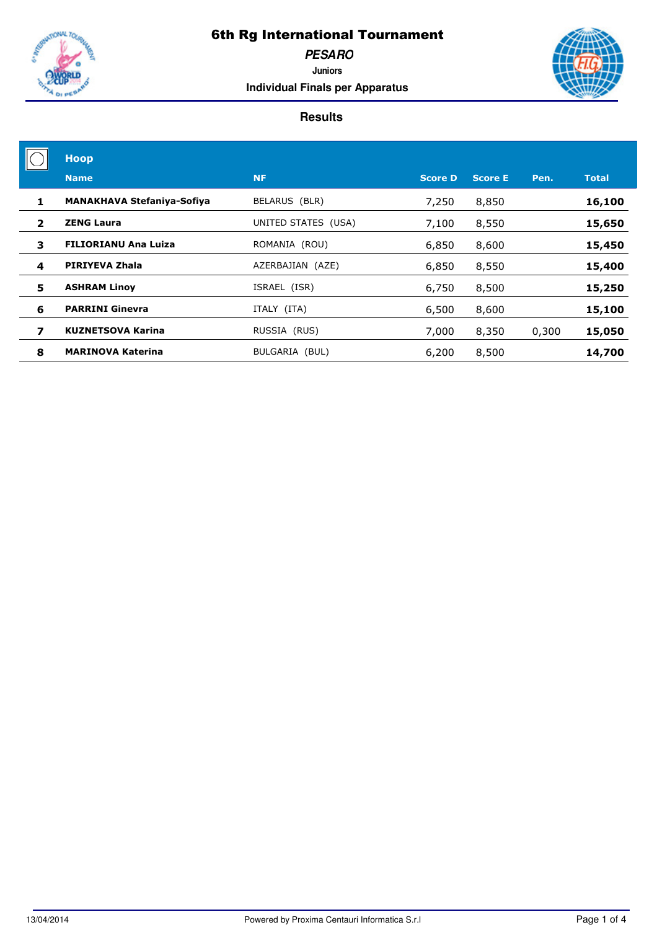

**PESARO**

**Juniors Individual Finals per Apparatus**



|                | <b>Hoop</b>                       |                     |                |                |       |              |
|----------------|-----------------------------------|---------------------|----------------|----------------|-------|--------------|
|                | <b>Name</b>                       | <b>NF</b>           | <b>Score D</b> | <b>Score E</b> | Pen.  | <b>Total</b> |
| 1              | <b>MANAKHAVA Stefaniya-Sofiya</b> | BELARUS (BLR)       | 7,250          | 8,850          |       | 16,100       |
| $\overline{2}$ | <b>ZENG Laura</b>                 | UNITED STATES (USA) | 7,100          | 8,550          |       | 15,650       |
| 3              | <b>FILIORIANU Ana Luiza</b>       | ROMANIA (ROU)       | 6,850          | 8,600          |       | 15,450       |
| 4              | PIRIYEVA Zhala                    | AZERBAJIAN (AZE)    | 6,850          | 8,550          |       | 15,400       |
| 5              | <b>ASHRAM Linov</b>               | ISRAEL (ISR)        | 6,750          | 8,500          |       | 15,250       |
| 6              | <b>PARRINI Ginevra</b>            | ITALY (ITA)         | 6,500          | 8,600          |       | 15,100       |
| 7              | <b>KUZNETSOVA Karina</b>          | RUSSIA (RUS)        | 7,000          | 8,350          | 0,300 | 15,050       |
| 8              | <b>MARINOVA Katerina</b>          | BULGARIA (BUL)      | 6,200          | 8,500          |       | 14,700       |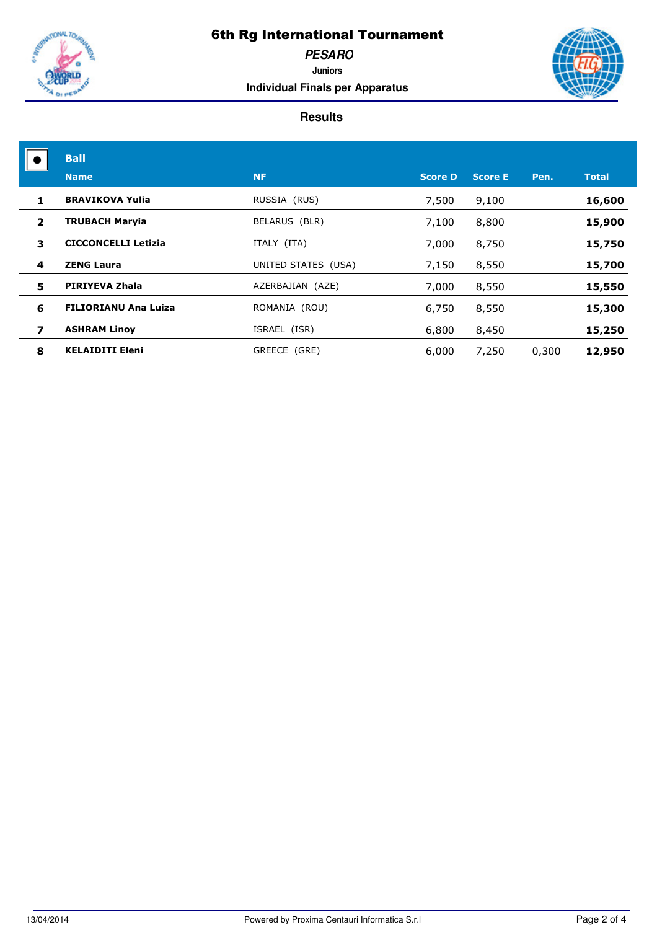

**PESARO Juniors**

**Individual Finals per Apparatus**



|                | <b>Ball</b>                 |                     |                |                |       |              |
|----------------|-----------------------------|---------------------|----------------|----------------|-------|--------------|
|                | <b>Name</b>                 | <b>NF</b>           | <b>Score D</b> | <b>Score E</b> | Pen.  | <b>Total</b> |
| 1              | <b>BRAVIKOVA Yulia</b>      | RUSSIA (RUS)        | 7,500          | 9,100          |       | 16,600       |
| $\overline{2}$ | <b>TRUBACH Maryia</b>       | BELARUS (BLR)       | 7,100          | 8,800          |       | 15,900       |
| 3              | <b>CICCONCELLI Letizia</b>  | ITALY (ITA)         | 7,000          | 8,750          |       | 15,750       |
| 4              | <b>ZENG Laura</b>           | UNITED STATES (USA) | 7,150          | 8,550          |       | 15,700       |
| 5              | PIRIYEVA Zhala              | AZERBAJIAN (AZE)    | 7,000          | 8,550          |       | 15,550       |
| 6              | <b>FILIORIANU Ana Luiza</b> | ROMANIA (ROU)       | 6,750          | 8,550          |       | 15,300       |
| 7              | <b>ASHRAM Linov</b>         | ISRAEL (ISR)        | 6,800          | 8,450          |       | 15,250       |
| 8              | <b>KELAIDITI Eleni</b>      | GREECE (GRE)        | 6,000          | 7,250          | 0,300 | 12,950       |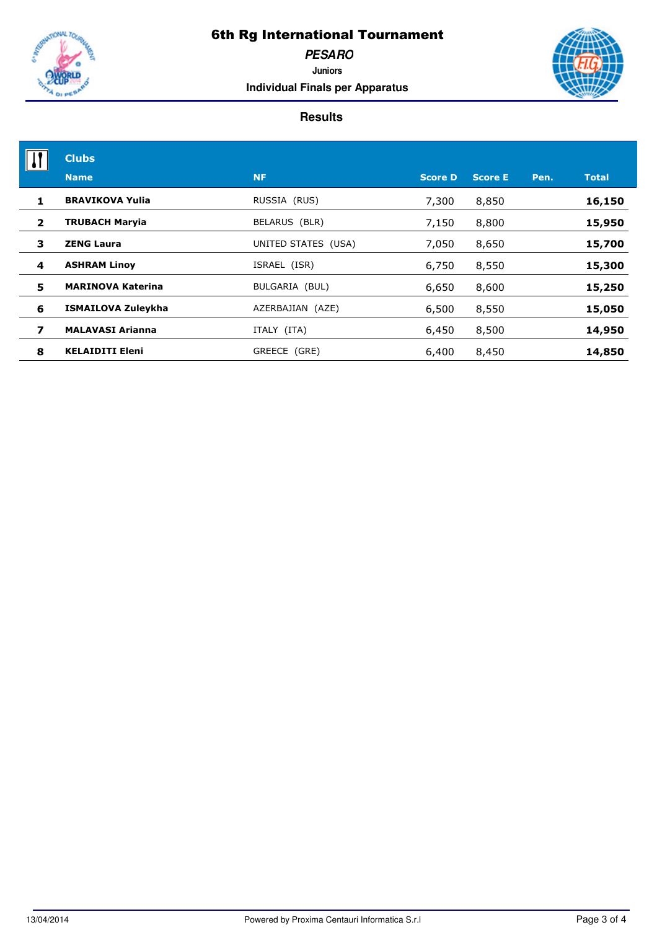

**PESARO**

**Juniors Individual Finals per Apparatus**



|                | <b>Clubs</b>             |                     |                |                |      |              |
|----------------|--------------------------|---------------------|----------------|----------------|------|--------------|
|                | <b>Name</b>              | <b>NF</b>           | <b>Score D</b> | <b>Score E</b> | Pen. | <b>Total</b> |
| 1              | <b>BRAVIKOVA Yulia</b>   | RUSSIA (RUS)        | 7,300          | 8,850          |      | 16,150       |
| $\overline{2}$ | <b>TRUBACH Maryia</b>    | BELARUS (BLR)       | 7,150          | 8,800          |      | 15,950       |
| 3              | <b>ZENG Laura</b>        | UNITED STATES (USA) | 7,050          | 8,650          |      | 15,700       |
| 4              | <b>ASHRAM Linov</b>      | ISRAEL (ISR)        | 6,750          | 8,550          |      | 15,300       |
| 5              | <b>MARINOVA Katerina</b> | BULGARIA (BUL)      | 6,650          | 8,600          |      | 15,250       |
| 6              | ISMAILOVA Zuleykha       | AZERBAJIAN (AZE)    | 6,500          | 8,550          |      | 15,050       |
| 7              | <b>MALAVASI Arianna</b>  | ITALY (ITA)         | 6,450          | 8,500          |      | 14,950       |
| 8              | <b>KELAIDITI Eleni</b>   | GREECE (GRE)        | 6,400          | 8,450          |      | 14,850       |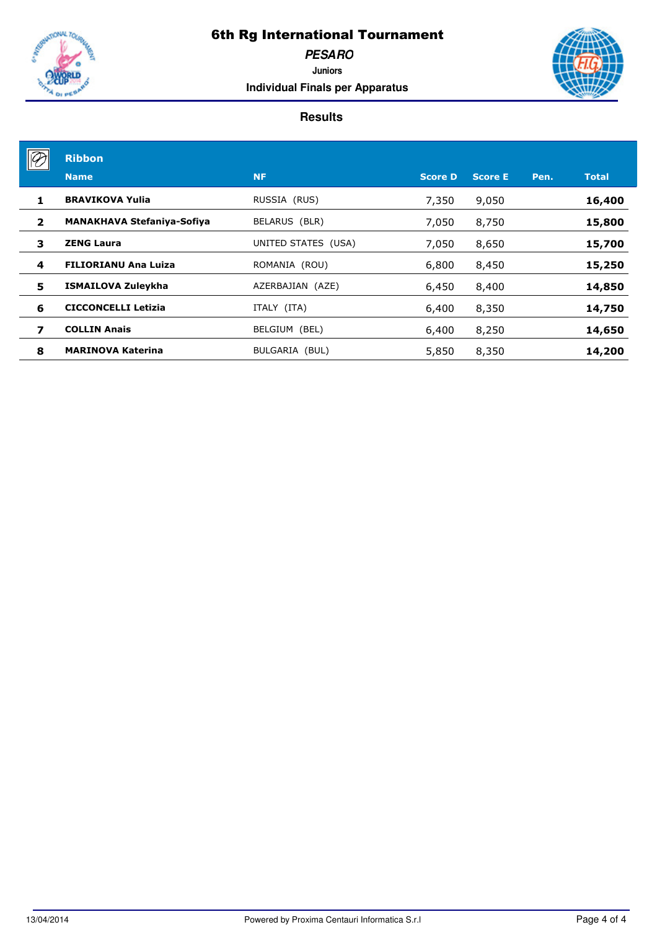

**PESARO**

**Juniors Individual Finals per Apparatus**

|                | <b>Ribbon</b>                     |                     |                |                |      |              |
|----------------|-----------------------------------|---------------------|----------------|----------------|------|--------------|
|                | <b>Name</b>                       | <b>NF</b>           | <b>Score D</b> | <b>Score E</b> | Pen. | <b>Total</b> |
| 1              | <b>BRAVIKOVA Yulia</b>            | RUSSIA (RUS)        | 7,350          | 9,050          |      | 16,400       |
| $\overline{2}$ | <b>MANAKHAVA Stefaniya-Sofiya</b> | BELARUS (BLR)       | 7,050          | 8,750          |      | 15,800       |
| 3              | <b>ZENG Laura</b>                 | UNITED STATES (USA) | 7,050          | 8,650          |      | 15,700       |
| 4              | <b>FILIORIANU Ana Luiza</b>       | ROMANIA (ROU)       | 6,800          | 8,450          |      | 15,250       |
| 5              | ISMAILOVA Zuleykha                | AZERBAJIAN (AZE)    | 6,450          | 8,400          |      | 14,850       |
| 6              | <b>CICCONCELLI Letizia</b>        | ITALY (ITA)         | 6,400          | 8,350          |      | 14,750       |
| 7              | <b>COLLIN Anais</b>               | BELGIUM (BEL)       | 6,400          | 8,250          |      | 14,650       |
| 8              | <b>MARINOVA Katerina</b>          | BULGARIA (BUL)      | 5,850          | 8,350          |      | 14,200       |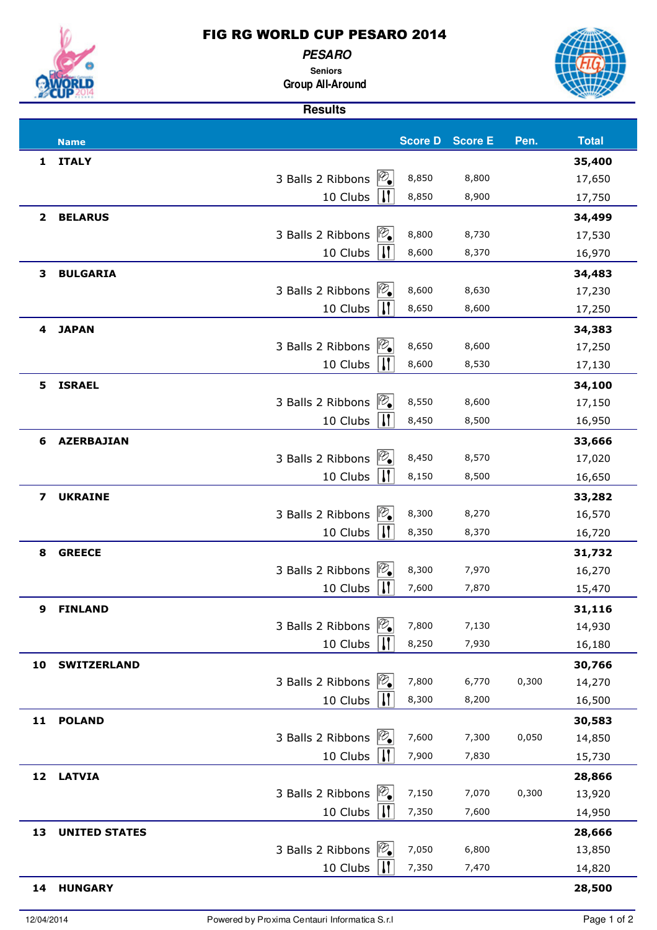

**PESARO Seniors**

### **Group All-Around**

|              |                      | <b>Results</b>                                      |       |                        |       |                  |
|--------------|----------------------|-----------------------------------------------------|-------|------------------------|-------|------------------|
|              |                      |                                                     |       |                        | Pen.  |                  |
|              | <b>Name</b>          |                                                     |       | <b>Score D</b> Score E |       | <b>Total</b>     |
| $\mathbf{1}$ | <b>ITALY</b>         | $ \mathcal{D}_{\bullet} $<br>3 Balls 2 Ribbons      | 8,850 | 8,800                  |       | 35,400<br>17,650 |
|              |                      | $\mathbf{H}$<br>10 Clubs                            | 8,850 | 8,900                  |       | 17,750           |
|              |                      |                                                     |       |                        |       |                  |
| $\mathbf{2}$ | <b>BELARUS</b>       | $\mathcal{P}_{\bullet}$<br>3 Balls 2 Ribbons        | 8,800 | 8,730                  |       | 34,499<br>17,530 |
|              |                      | $\mathbf{H}$<br>10 Clubs                            | 8,600 | 8,370                  |       | 16,970           |
| 3            | <b>BULGARIA</b>      |                                                     |       |                        |       |                  |
|              |                      | $\mathcal{P}_{\bullet}$<br>3 Balls 2 Ribbons        | 8,600 | 8,630                  |       | 34,483<br>17,230 |
|              |                      | $\mathbf{H}$<br>10 Clubs                            | 8,650 | 8,600                  |       | 17,250           |
| 4            | <b>JAPAN</b>         |                                                     |       |                        |       | 34,383           |
|              |                      | $\mathcal{P}_{\bullet}$<br>3 Balls 2 Ribbons        | 8,650 | 8,600                  |       | 17,250           |
|              |                      | $\mathbf{H}$<br>10 Clubs                            | 8,600 | 8,530                  |       | 17,130           |
| 5            | <b>ISRAEL</b>        |                                                     |       |                        |       | 34,100           |
|              |                      | $\mathcal{P}_{\bullet}$<br>3 Balls 2 Ribbons        | 8,550 | 8,600                  |       | 17,150           |
|              |                      | $\mathbf{H}$<br>10 Clubs                            | 8,450 | 8,500                  |       | 16,950           |
| 6            | <b>AZERBAJIAN</b>    |                                                     |       |                        |       | 33,666           |
|              |                      | $\mathcal{P}_{\bullet}$<br>3 Balls 2 Ribbons        | 8,450 | 8,570                  |       | 17,020           |
|              |                      | $\mathbf{H}$<br>10 Clubs                            | 8,150 | 8,500                  |       | 16,650           |
| 7            | <b>UKRAINE</b>       |                                                     |       |                        |       | 33,282           |
|              |                      | $\mathcal{P}_{\bullet}$<br>3 Balls 2 Ribbons        | 8,300 | 8,270                  |       | 16,570           |
|              |                      | $\mathbf{H}$<br>10 Clubs                            | 8,350 | 8,370                  |       | 16,720           |
| 8            | <b>GREECE</b>        |                                                     |       |                        |       | 31,732           |
|              |                      | $ \mathscr{D}_{\bullet} $<br>3 Balls 2 Ribbons      | 8,300 | 7,970                  |       | 16,270           |
|              |                      | $\mathbf{I}$<br>10 Clubs                            | 7,600 | 7,870                  |       | 15,470           |
| 9            | <b>FINLAND</b>       |                                                     |       |                        |       | 31,116           |
|              |                      | $\mathcal{P}_{\bullet}$<br>3 Balls 2 Ribbons        | 7,800 | 7,130                  |       | 14,930           |
|              |                      | $\vert \mathbf{J} \vert$<br>10 Clubs                | 8,250 | 7,930                  |       | 16,180           |
| 10           | <b>SWITZERLAND</b>   |                                                     |       |                        |       | 30,766           |
|              |                      | $\mathcal{P}_{\bullet}$<br>3 Balls 2 Ribbons        | 7,800 | 6,770                  | 0,300 | 14,270           |
|              |                      | W <br>10 Clubs                                      | 8,300 | 8,200                  |       | 16,500           |
| 11           | <b>POLAND</b>        |                                                     |       |                        |       | 30,583           |
|              |                      | $\mathcal{P}_{\bullet}$<br>3 Balls 2 Ribbons        | 7,600 | 7,300                  | 0,050 | 14,850           |
|              |                      | $\vert \mathfrak{l} \mathfrak{l} \vert$<br>10 Clubs | 7,900 | 7,830                  |       | 15,730           |
| 12           | <b>LATVIA</b>        |                                                     |       |                        |       | 28,866           |
|              |                      | $\mathcal{P}_{\bullet}$<br>3 Balls 2 Ribbons        | 7,150 | 7,070                  | 0,300 | 13,920           |
|              |                      | $\vert \mathbf{I} \vert$<br>10 Clubs                | 7,350 | 7,600                  |       | 14,950           |
| 13           | <b>UNITED STATES</b> |                                                     |       |                        |       | 28,666           |
|              |                      | $\mathcal{P}_{\bullet}$<br>3 Balls 2 Ribbons        | 7,050 | 6,800                  |       | 13,850           |
|              |                      | $\vert \mathbf{J} \vert$<br>10 Clubs                | 7,350 | 7,470                  |       | 14,820           |
| 14           | <b>HUNGARY</b>       |                                                     |       |                        |       | 28,500           |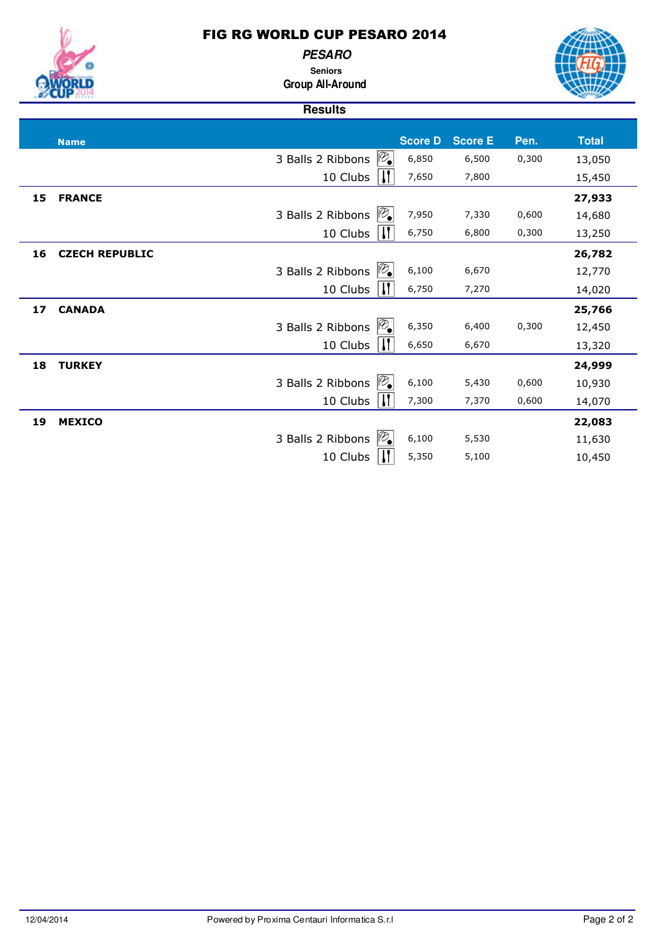

**PESARO Seniors**



**Group All-Around**

|    |                       | <b>Results</b>                                 |                |                |       |              |
|----|-----------------------|------------------------------------------------|----------------|----------------|-------|--------------|
|    |                       |                                                |                |                |       |              |
|    | <b>Name</b>           |                                                | <b>Score D</b> | <b>Score E</b> | Pen.  | <b>Total</b> |
|    |                       | $ \mathscr{D}_{\bullet} $<br>3 Balls 2 Ribbons | 6,850          | 6,500          | 0,300 | 13,050       |
|    |                       | 10 Clubs<br>H.                                 | 7,650          | 7,800          |       | 15,450       |
| 15 | <b>FRANCE</b>         |                                                |                |                |       | 27,933       |
|    |                       | 3 Balls 2 Ribbons                              | 7,950          | 7,330          | 0,600 | 14,680       |
|    |                       | 10 Clubs                                       | 6,750          | 6,800          | 0,300 | 13,250       |
| 16 | <b>CZECH REPUBLIC</b> |                                                |                |                |       | 26,782       |
|    |                       | $\mathbb{P}_{\bullet}$<br>3 Balls 2 Ribbons    | 6,100          | 6,670          |       | 12,770       |
|    |                       | 10 Clubs                                       | 6,750          | 7,270          |       | 14,020       |
| 17 | <b>CANADA</b>         |                                                |                |                |       | 25,766       |
|    |                       | 3 Balls 2 Ribbons                              | 6,350          | 6,400          | 0,300 | 12,450       |
|    |                       | 10 Clubs                                       | 6,650          | 6,670          |       | 13,320       |
| 18 | <b>TURKEY</b>         |                                                |                |                |       | 24,999       |
|    |                       | 3 Balls 2 Ribbons                              | 6,100          | 5,430          | 0,600 | 10,930       |
|    |                       | 10 Clubs                                       | 7,300          | 7,370          | 0,600 | 14,070       |
| 19 | <b>MEXICO</b>         |                                                |                |                |       | 22,083       |
|    |                       | 3 Balls 2 Ribbons                              | 6,100          | 5,530          |       | 11,630       |
|    |                       | 10 Clubs                                       | 5,350          | 5,100          |       | 10,450       |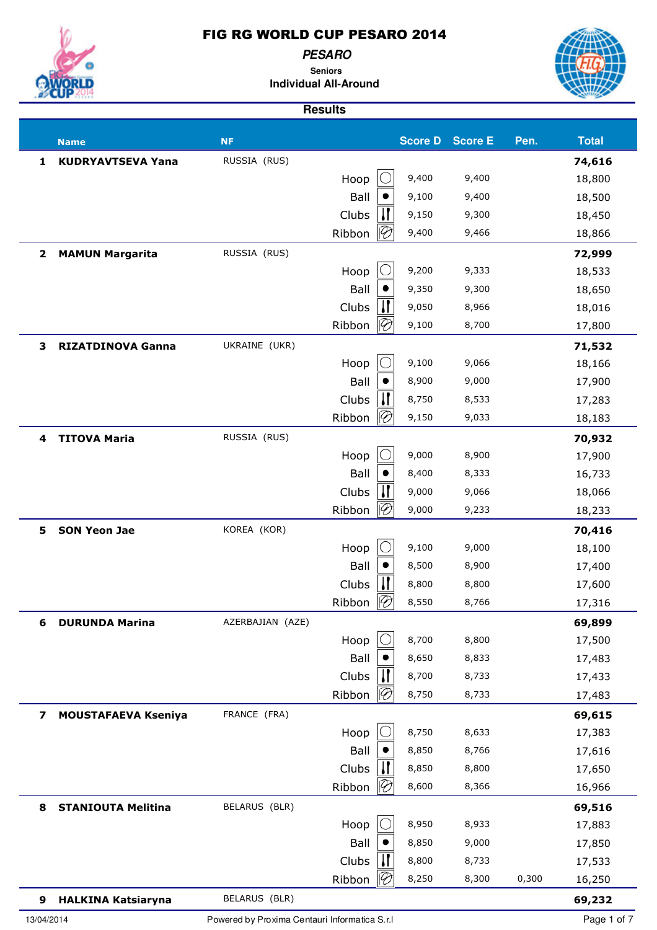**PESARO**

**Seniors Individual All-Around**



|                | <b>Name</b>                | <b>NF</b>                                     |        |                          | <b>Score D</b> | <b>Score E</b> | Pen.  | <b>Total</b> |
|----------------|----------------------------|-----------------------------------------------|--------|--------------------------|----------------|----------------|-------|--------------|
| 1              | <b>KUDRYAVTSEVA Yana</b>   | RUSSIA (RUS)                                  |        |                          |                |                |       | 74,616       |
|                |                            |                                               | Hoop   |                          | 9,400          | 9,400          |       | 18,800       |
|                |                            |                                               | Ball   |                          | 9,100          | 9,400          |       | 18,500       |
|                |                            |                                               | Clubs  |                          | 9,150          | 9,300          |       | 18,450       |
|                |                            |                                               | Ribbon | $\mathscr{P}$            | 9,400          | 9,466          |       | 18,866       |
| $\mathbf{2}$   | <b>MAMUN Margarita</b>     | RUSSIA (RUS)                                  |        |                          |                |                |       | 72,999       |
|                |                            |                                               | Hoop   |                          | 9,200          | 9,333          |       | 18,533       |
|                |                            |                                               | Ball   |                          | 9,350          | 9,300          |       | 18,650       |
|                |                            |                                               | Clubs  |                          | 9,050          | 8,966          |       | 18,016       |
|                |                            |                                               | Ribbon | $\overline{\mathscr{C}}$ | 9,100          | 8,700          |       | 17,800       |
| 3              | <b>RIZATDINOVA Ganna</b>   | UKRAINE (UKR)                                 |        |                          |                |                |       | 71,532       |
|                |                            |                                               | Hoop   |                          | 9,100          | 9,066          |       | 18,166       |
|                |                            |                                               | Ball   |                          | 8,900          | 9,000          |       | 17,900       |
|                |                            |                                               | Clubs  |                          | 8,750          | 8,533          |       | 17,283       |
|                |                            |                                               | Ribbon | $\overline{\mathscr{C}}$ | 9,150          | 9,033          |       | 18,183       |
| 4              | <b>TITOVA Maria</b>        | RUSSIA (RUS)                                  |        |                          |                |                |       | 70,932       |
|                |                            |                                               | Hoop   |                          | 9,000          | 8,900          |       | 17,900       |
|                |                            |                                               | Ball   |                          | 8,400          | 8,333          |       | 16,733       |
|                |                            |                                               | Clubs  |                          | 9,000          | 9,066          |       | 18,066       |
|                |                            |                                               | Ribbon | P                        | 9,000          | 9,233          |       | 18,233       |
| 5.             | <b>SON Yeon Jae</b>        | KOREA (KOR)                                   |        |                          |                |                |       | 70,416       |
|                |                            |                                               | Hoop   |                          | 9,100          | 9,000          |       | 18,100       |
|                |                            |                                               | Ball   |                          | 8,500          | 8,900          |       | 17,400       |
|                |                            |                                               | Clubs  |                          | 8,800          | 8,800          |       | 17,600       |
|                |                            |                                               | Ribbon | $\overline{\mathscr{C}}$ | 8,550          | 8,766          |       | 17,316       |
| 6              | <b>DURUNDA Marina</b>      | AZERBAJIAN (AZE)                              |        |                          |                |                |       | 69,899       |
|                |                            |                                               | Hoop   |                          | 8,700          | 8,800          |       | 17,500       |
|                |                            |                                               | Ball   |                          | 8,650          | 8,833          |       | 17,483       |
|                |                            |                                               | Clubs  |                          | 8,700          | 8,733          |       | 17,433       |
|                |                            |                                               | Ribbon | $\mathcal{P}$            | 8,750          | 8,733          |       | 17,483       |
| $\overline{ }$ | <b>MOUSTAFAEVA Kseniya</b> | FRANCE (FRA)                                  |        |                          |                |                |       | 69,615       |
|                |                            |                                               | Hoop   |                          | 8,750          | 8,633          |       | 17,383       |
|                |                            |                                               | Ball   |                          | 8,850          | 8,766          |       | 17,616       |
|                |                            |                                               | Clubs  |                          | 8,850          | 8,800          |       | 17,650       |
|                |                            |                                               | Ribbon | $\mathcal{P}$            | 8,600          | 8,366          |       | 16,966       |
| 8              | <b>STANIOUTA Melitina</b>  | BELARUS (BLR)                                 |        |                          |                |                |       | 69,516       |
|                |                            |                                               | Hoop   |                          | 8,950          | 8,933          |       | 17,883       |
|                |                            |                                               | Ball   |                          | 8,850          | 9,000          |       | 17,850       |
|                |                            |                                               | Clubs  |                          | 8,800          | 8,733          |       | 17,533       |
|                |                            |                                               | Ribbon | $\mathcal{P}$            | 8,250          | 8,300          | 0,300 | 16,250       |
| 9              | <b>HALKINA Katsiaryna</b>  | BELARUS (BLR)                                 |        |                          |                |                |       | 69,232       |
| 13/04/2014     |                            | Powered by Proxima Centauri Informatica S.r.I |        |                          |                |                |       | Page 1 of 7  |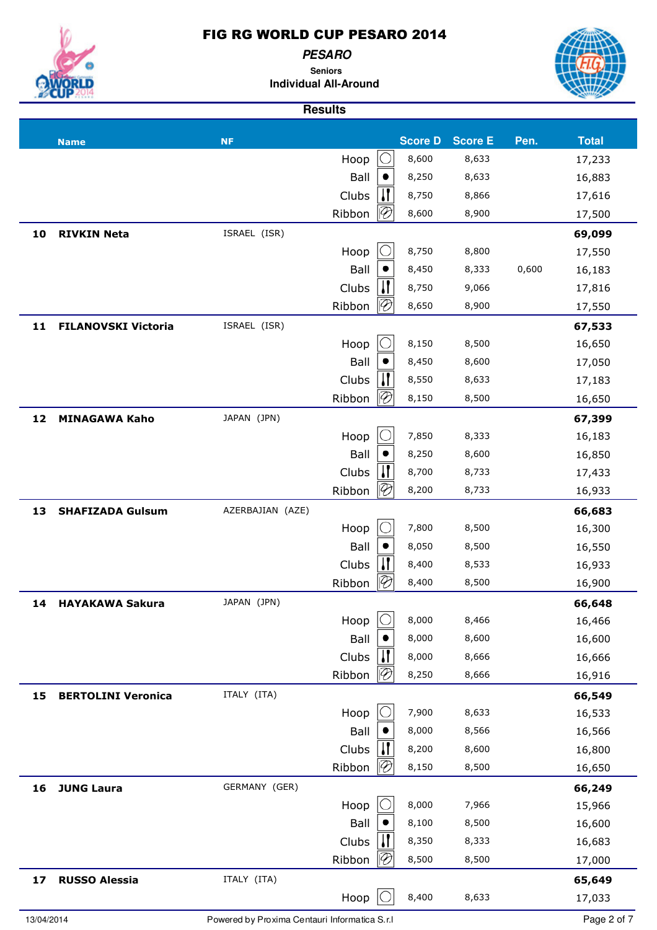**PESARO**

**Seniors Individual All-Around**

**Results**



## **Name NF Score D Score E Pen. Total**  $Hoop \n\begin{array}{|c|c|}\n\hline\n0 & 8,600 & 8,633 & 17,233\n\end{array}$ Ball  $\bullet$  8,250 8,633 16,883 Clubs  $\begin{vmatrix} 1 \\ 1 \end{vmatrix}$  8,750 8,866 17,616  $Ribbon$  8,600 8,900 17,500 **10 RIVKIN Neta** ISRAEL (ISR) **69,099**  $Hoop \n\begin{array}{|c|c|} \n\hline\n0 & 8,750 & 8,800 & 17,550\n\end{array}$ Ball  $\bullet$  8,450 8,333 0,600 16,183 Clubs  $\begin{vmatrix} 1 \\ 1 \end{vmatrix}$  8,750 9,066 17,816 Ribbon  $\varnothing$  8,650 8,900 17,550 **11 FILANOVSKI Victoria** ISRAEL (ISR) **67,533**  $Hoop \n\begin{array}{|c|c|c|} \n\hline\n8,150 & 8,500 \\
\hline\n\end{array}$  16,650 Ball  $\bullet$  8,450 8,600 17,050 Clubs  $\begin{bmatrix} 1 \\ 1 \end{bmatrix}$  8,550 8,633 17,183 Ribbon  $\mathcal{P}$  8,150 8,500 16,650 **12 MINAGAWA Kaho** JAPAN (JPN) **67,399** Hoop  $\begin{array}{|c|c|} \hline \text{O} & \text{7,850} & \text{8,333} \hline \end{array}$  16,183 Ball  $\bullet$  8,250 8,600 16,850 Clubs  $\begin{bmatrix} 1 \\ 1 \end{bmatrix}$  8,700 8,733 17,433 Ribbon  $\varnothing$  8,200 8,733 16,933 **13 SHAFIZADA Gulsum** AZERBAJIAN (AZE) **66,683**  $Hoop \n\begin{array}{ccc} \n\begin{array}{ccc} \n\bigcirc & \n\bigcirc & \n\bigcirc & \n\end{array} & 7,800 \n\end{array}$  8,500 16,300 Ball  $\bullet$  8,050 8,500 16,550 Clubs  $\begin{vmatrix} 1 \\ 1 \end{vmatrix}$  8,400 8,533 16,933 Ribbon  $\mathcal{B}$  8,400 8,500 16,900 **14 HAYAKAWA Sakura** JAPAN (JPN) **66,648**  $Hoop \n\begin{array}{|c|c|c|c|} \n\hline\n8,000 & 8,466 \\
\hline\n\end{array}$  16,466 Ball  $\bullet$  8,000 8,600 16,600 Clubs  $\begin{vmatrix} 1 \\ 1 \end{vmatrix}$  8,000 8,666 16,666 Ribbon  $\varnothing$  8,250 8,666 16,916 **15 BERTOLINI Veronica** ITALY (ITA) **66,549**  $Hoop \n\begin{array}{ccc} \n\begin{array}{ccc} \n\begin{array}{ccc} \n\end{array} & 7,900 & 8,633 & 16,533\n\end{array} \n\end{array}$ Ball  $\bullet$  8,000 8,566 16,566 Clubs  $\begin{vmatrix} 1 \\ 1 \end{vmatrix}$  8,200 8,600 16,800 Ribbon  $\varnothing$  8,150 8,500 16,650 **16 JUNG Laura** GERMANY (GER) **66,249**  $Hoop \n\begin{array}{|c|c|c|c|} \n\hline\n8,000 & 7,966 \\
\hline\n\end{array}$  15,966 Ball  $\bullet$  8,100 8,500 16,600 Clubs  $\begin{vmatrix} 1 \\ 1 \end{vmatrix}$  8,350 8,333 16,683  $Ribbon ||02|| 8,500 8,500 17,000$ **17 RUSSO Alessia** ITALY (ITA) **65,649**  $Hoop \n\begin{array}{|c|c|}\n\hline\n8,400 & 8,633 \\
\hline\n\end{array}$  17,033 13/04/2014 Powered by Proxima Centauri Informatica S.r.l Page 2 of 7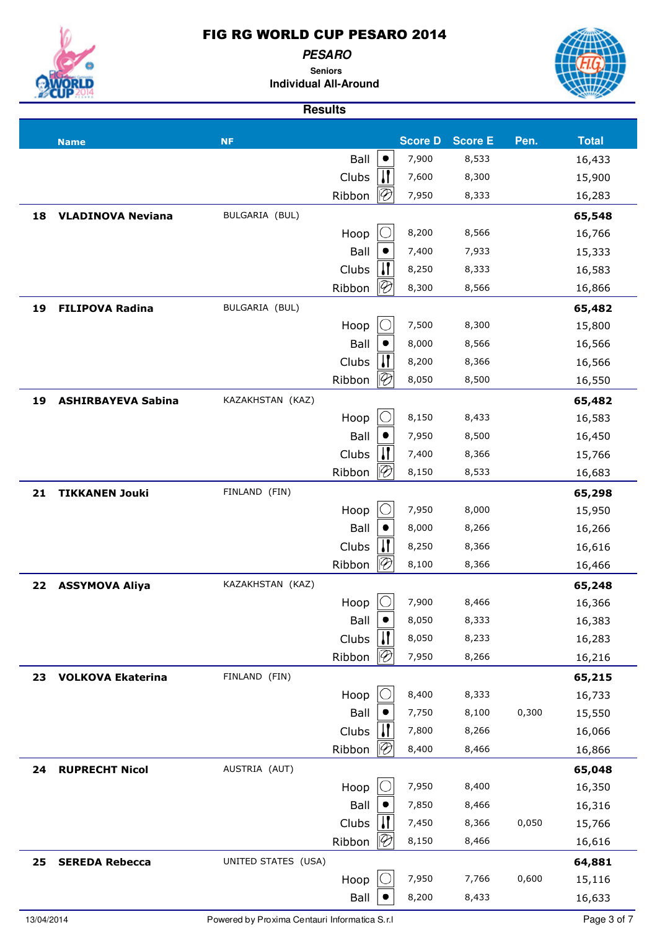**PESARO**

**Seniors Individual All-Around**



|    | <b>Name</b>               | <b>NF</b>           |        |              | <b>Score D</b> | <b>Score E</b> | Pen.  | <b>Total</b> |
|----|---------------------------|---------------------|--------|--------------|----------------|----------------|-------|--------------|
|    |                           |                     | Ball   | $\bullet$    | 7,900          | 8,533          |       | 16,433       |
|    |                           |                     | Clubs  | $\mathbf{I}$ | 7,600          | 8,300          |       | 15,900       |
|    |                           |                     | Ribbon | 10           | 7,950          | 8,333          |       | 16,283       |
| 18 | <b>VLADINOVA Neviana</b>  | BULGARIA (BUL)      |        |              |                |                |       | 65,548       |
|    |                           |                     | Hoop   |              | 8,200          | 8,566          |       | 16,766       |
|    |                           |                     | Ball   |              | 7,400          | 7,933          |       | 15,333       |
|    |                           |                     | Clubs  | И            | 8,250          | 8,333          |       | 16,583       |
|    |                           |                     | Ribbon | ΙB           | 8,300          | 8,566          |       | 16,866       |
| 19 | <b>FILIPOVA Radina</b>    | BULGARIA (BUL)      |        |              |                |                |       | 65,482       |
|    |                           |                     | Hoop   |              | 7,500          | 8,300          |       | 15,800       |
|    |                           |                     | Ball   |              | 8,000          | 8,566          |       | 16,566       |
|    |                           |                     | Clubs  |              | 8,200          | 8,366          |       | 16,566       |
|    |                           |                     | Ribbon | 18           | 8,050          | 8,500          |       | 16,550       |
| 19 | <b>ASHIRBAYEVA Sabina</b> | KAZAKHSTAN (KAZ)    |        |              |                |                |       | 65,482       |
|    |                           |                     | Hoop   |              | 8,150          | 8,433          |       | 16,583       |
|    |                           |                     | Ball   |              | 7,950          | 8,500          |       | 16,450       |
|    |                           |                     | Clubs  |              | 7,400          | 8,366          |       | 15,766       |
|    |                           |                     | Ribbon |              | 8,150          | 8,533          |       | 16,683       |
| 21 | <b>TIKKANEN Jouki</b>     | FINLAND (FIN)       |        |              |                |                |       | 65,298       |
|    |                           |                     | Hoop   |              | 7,950          | 8,000          |       | 15,950       |
|    |                           |                     | Ball   |              | 8,000          | 8,266          |       | 16,266       |
|    |                           |                     | Clubs  |              | 8,250          | 8,366          |       | 16,616       |
|    |                           |                     | Ribbon | 18           | 8,100          | 8,366          |       | 16,466       |
| 22 | <b>ASSYMOVA Aliya</b>     | KAZAKHSTAN (KAZ)    |        |              |                |                |       | 65,248       |
|    |                           |                     | Hoop   |              | 7,900          | 8,466          |       | 16,366       |
|    |                           |                     | Ball   | $\bullet$    | 8,050          | 8,333          |       | 16,383       |
|    |                           |                     | Clubs  |              | 8,050          | 8,233          |       | 16,283       |
|    |                           |                     | Ribbon | 118          | 7,950          | 8,266          |       | 16,216       |
| 23 | <b>VOLKOVA Ekaterina</b>  | FINLAND (FIN)       |        |              |                |                |       | 65,215       |
|    |                           |                     | Hoop   |              | 8,400          | 8,333          |       | 16,733       |
|    |                           |                     | Ball   |              | 7,750          | 8,100          | 0,300 | 15,550       |
|    |                           |                     | Clubs  |              | 7,800          | 8,266          |       | 16,066       |
|    |                           |                     | Ribbon | 118          | 8,400          | 8,466          |       | 16,866       |
| 24 | <b>RUPRECHT Nicol</b>     | AUSTRIA (AUT)       |        |              |                |                |       | 65,048       |
|    |                           |                     | Hoop   |              | 7,950          | 8,400          |       | 16,350       |
|    |                           |                     | Ball   |              | 7,850          | 8,466          |       | 16,316       |
|    |                           |                     | Clubs  |              | 7,450          | 8,366          | 0,050 | 15,766       |
|    |                           |                     | Ribbon | 18           | 8,150          | 8,466          |       | 16,616       |
| 25 | <b>SEREDA Rebecca</b>     | UNITED STATES (USA) |        |              |                |                |       | 64,881       |
|    |                           |                     | Hoop   |              | 7,950          | 7,766          | 0,600 | 15,116       |
|    |                           |                     | Ball   |              | 8,200          | 8,433          |       | 16,633       |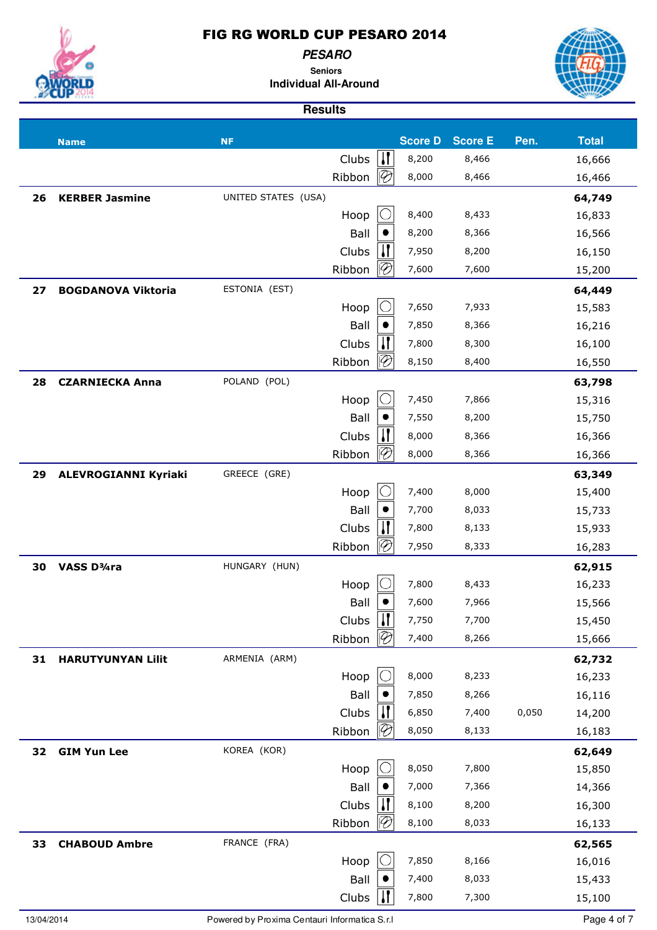

**PESARO Seniors**

**Individual All-Around**



|    | <b>Name</b>                 | <b>NF</b>           |        |                             | <b>Score D</b> | <b>Score E</b> | Pen.  | <b>Total</b> |
|----|-----------------------------|---------------------|--------|-----------------------------|----------------|----------------|-------|--------------|
|    |                             |                     | Clubs  | $\mathbf{u}$                | 8,200          | 8,466          |       | 16,666       |
|    |                             |                     | Ribbon | 10                          | 8,000          | 8,466          |       | 16,466       |
| 26 | <b>KERBER Jasmine</b>       | UNITED STATES (USA) |        |                             |                |                |       | 64,749       |
|    |                             |                     | Hoop   |                             | 8,400          | 8,433          |       | 16,833       |
|    |                             |                     | Ball   |                             | 8,200          | 8,366          |       | 16,566       |
|    |                             |                     | Clubs  | И                           | 7,950          | 8,200          |       | 16,150       |
|    |                             |                     | Ribbon | $\lvert \mathcal{P} \rvert$ | 7,600          | 7,600          |       | 15,200       |
| 27 | <b>BOGDANOVA Viktoria</b>   | ESTONIA (EST)       |        |                             |                |                |       | 64,449       |
|    |                             |                     | Hoop   |                             | 7,650          | 7,933          |       | 15,583       |
|    |                             |                     | Ball   |                             | 7,850          | 8,366          |       | 16,216       |
|    |                             |                     | Clubs  | П                           | 7,800          | 8,300          |       | 16,100       |
|    |                             |                     | Ribbon |                             | 8,150          | 8,400          |       | 16,550       |
| 28 | <b>CZARNIECKA Anna</b>      | POLAND (POL)        |        |                             |                |                |       | 63,798       |
|    |                             |                     | Hoop   |                             | 7,450          | 7,866          |       | 15,316       |
|    |                             |                     | Ball   |                             | 7,550          | 8,200          |       | 15,750       |
|    |                             |                     | Clubs  | И                           | 8,000          | 8,366          |       | 16,366       |
|    |                             |                     | Ribbon | $\overline{\mathscr{C}}$    | 8,000          | 8,366          |       | 16,366       |
| 29 | <b>ALEVROGIANNI Kyriaki</b> | GREECE (GRE)        |        |                             |                |                |       | 63,349       |
|    |                             |                     | Hoop   |                             | 7,400          | 8,000          |       | 15,400       |
|    |                             |                     | Ball   |                             | 7,700          | 8,033          |       | 15,733       |
|    |                             |                     | Clubs  |                             | 7,800          | 8,133          |       | 15,933       |
|    |                             |                     | Ribbon |                             | 7,950          | 8,333          |       | 16,283       |
| 30 | VASS D <sup>3</sup> /4ra    | HUNGARY (HUN)       |        |                             |                |                |       | 62,915       |
|    |                             |                     | Hoop   |                             | 7,800          | 8,433          |       | 16,233       |
|    |                             |                     | Ball   |                             | 7,600          | 7,966          |       | 15,566       |
|    |                             |                     | Clubs  | $\mathbf{I}$                | 7,750          | 7,700          |       | 15,450       |
|    |                             |                     | Ribbon | 11                          | 7,400          | 8,266          |       | 15,666       |
| 31 | <b>HARUTYUNYAN Lilit</b>    | ARMENIA (ARM)       |        |                             |                |                |       | 62,732       |
|    |                             |                     | Hoop   |                             | 8,000          | 8,233          |       | 16,233       |
|    |                             |                     | Ball   |                             | 7,850          | 8,266          |       | 16,116       |
|    |                             |                     | Clubs  |                             | 6,850          | 7,400          | 0,050 | 14,200       |
|    |                             |                     | Ribbon |                             | 8,050          | 8,133          |       | 16,183       |
| 32 | <b>GIM Yun Lee</b>          | KOREA (KOR)         |        |                             |                |                |       | 62,649       |
|    |                             |                     | Hoop   |                             | 8,050          | 7,800          |       | 15,850       |
|    |                             |                     | Ball   |                             | 7,000          | 7,366          |       | 14,366       |
|    |                             |                     | Clubs  |                             | 8,100          | 8,200          |       | 16,300       |
|    |                             |                     | Ribbon |                             | 8,100          | 8,033          |       | 16,133       |
| 33 | <b>CHABOUD Ambre</b>        | FRANCE (FRA)        |        |                             |                |                |       | 62,565       |
|    |                             |                     | Hoop   |                             | 7,850          | 8,166          |       | 16,016       |
|    |                             |                     | Ball   |                             | 7,400          | 8,033          |       | 15,433       |
|    |                             |                     | Clubs  | Ш                           | 7,800          | 7,300          |       | 15,100       |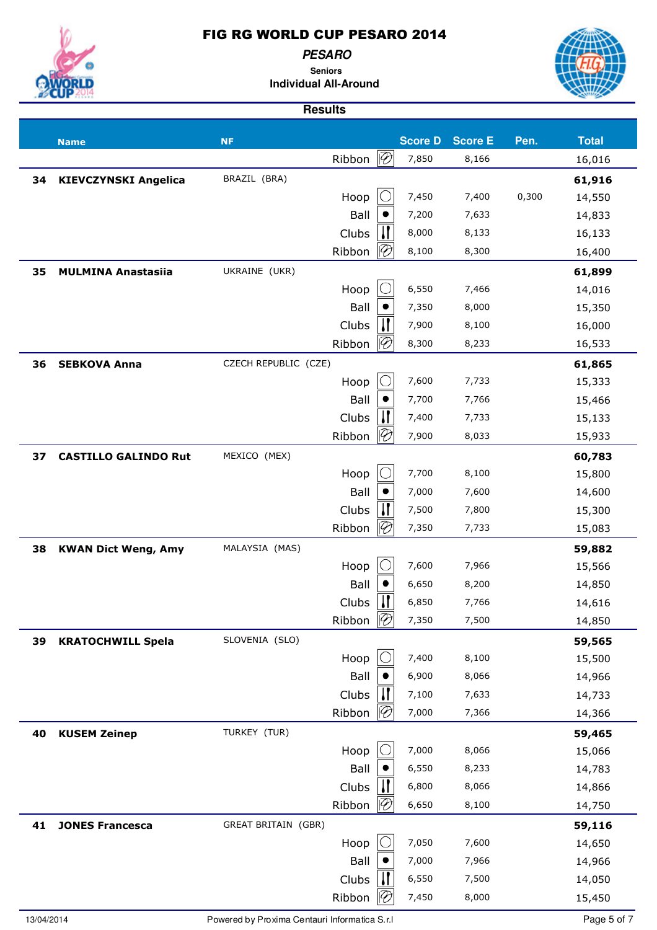**PESARO Seniors**

**Individual All-Around**



|    | <b>Name</b>                 | <b>NF</b>                  |        |                             | <b>Score D</b> | <b>Score E</b> | Pen.  | <b>Total</b> |
|----|-----------------------------|----------------------------|--------|-----------------------------|----------------|----------------|-------|--------------|
|    |                             |                            | Ribbon | $ {\mathcal{D}}$            | 7,850          | 8,166          |       | 16,016       |
| 34 | <b>KIEVCZYNSKI Angelica</b> | BRAZIL (BRA)               |        |                             |                |                |       | 61,916       |
|    |                             |                            | Hoop   |                             | 7,450          | 7,400          | 0,300 | 14,550       |
|    |                             |                            | Ball   |                             | 7,200          | 7,633          |       | 14,833       |
|    |                             |                            | Clubs  |                             | 8,000          | 8,133          |       | 16,133       |
|    |                             |                            | Ribbon | $\lvert \mathscr{C} \rvert$ | 8,100          | 8,300          |       | 16,400       |
| 35 | <b>MULMINA Anastasiia</b>   | UKRAINE (UKR)              |        |                             |                |                |       | 61,899       |
|    |                             |                            | Hoop   |                             | 6,550          | 7,466          |       | 14,016       |
|    |                             |                            | Ball   |                             | 7,350          | 8,000          |       | 15,350       |
|    |                             |                            | Clubs  |                             | 7,900          | 8,100          |       | 16,000       |
|    |                             |                            | Ribbon | $\lvert \mathcal{C} \rvert$ | 8,300          | 8,233          |       | 16,533       |
| 36 | <b>SEBKOVA Anna</b>         | CZECH REPUBLIC (CZE)       |        |                             |                |                |       | 61,865       |
|    |                             |                            | Hoop   |                             | 7,600          | 7,733          |       | 15,333       |
|    |                             |                            | Ball   |                             | 7,700          | 7,766          |       | 15,466       |
|    |                             |                            | Clubs  |                             | 7,400          | 7,733          |       | 15,133       |
|    |                             |                            | Ribbon | $\mathcal{\mathcal{P}}$     | 7,900          | 8,033          |       | 15,933       |
| 37 | <b>CASTILLO GALINDO Rut</b> | MEXICO (MEX)               |        |                             |                |                |       | 60,783       |
|    |                             |                            | Hoop   |                             | 7,700          | 8,100          |       | 15,800       |
|    |                             |                            | Ball   |                             | 7,000          | 7,600          |       | 14,600       |
|    |                             |                            | Clubs  |                             | 7,500          | 7,800          |       | 15,300       |
|    |                             |                            | Ribbon | $\lvert \mathcal{P} \rvert$ | 7,350          | 7,733          |       | 15,083       |
| 38 | <b>KWAN Dict Weng, Amy</b>  | MALAYSIA (MAS)             |        |                             |                |                |       | 59,882       |
|    |                             |                            | Hoop   |                             | 7,600          | 7,966          |       | 15,566       |
|    |                             |                            | Ball   |                             | 6,650          | 8,200          |       | 14,850       |
|    |                             |                            | Clubs  |                             | 6,850          | 7,766          |       | 14,616       |
|    |                             |                            | Ribbon | $\overline{\mathscr{D}}$    | 7,350          | 7,500          |       | 14,850       |
| 39 | <b>KRATOCHWILL Spela</b>    | SLOVENIA (SLO)             |        |                             |                |                |       | 59,565       |
|    |                             |                            | Hoop   |                             | 7,400          | 8,100          |       | 15,500       |
|    |                             |                            | Ball   |                             | 6,900          | 8,066          |       | 14,966       |
|    |                             |                            | Clubs  |                             | 7,100          | 7,633          |       | 14,733       |
|    |                             |                            | Ribbon | 10                          | 7,000          | 7,366          |       | 14,366       |
| 40 | <b>KUSEM Zeinep</b>         | TURKEY (TUR)               |        |                             |                |                |       | 59,465       |
|    |                             |                            | Hoop   |                             | 7,000          | 8,066          |       | 15,066       |
|    |                             |                            | Ball   |                             | 6,550          | 8,233          |       | 14,783       |
|    |                             |                            | Clubs  | $\lvert \mathcal{P} \rvert$ | 6,800          | 8,066          |       | 14,866       |
|    |                             |                            | Ribbon |                             | 6,650          | 8,100          |       | 14,750       |
| 41 | <b>JONES Francesca</b>      | <b>GREAT BRITAIN (GBR)</b> |        |                             |                |                |       | 59,116       |
|    |                             |                            | Hoop   |                             | 7,050          | 7,600          |       | 14,650       |
|    |                             |                            | Ball   |                             | 7,000          | 7,966          |       | 14,966       |
|    |                             |                            | Clubs  |                             | 6,550          | 7,500          |       | 14,050       |
|    |                             |                            | Ribbon | 19                          | 7,450          | 8,000          |       | 15,450       |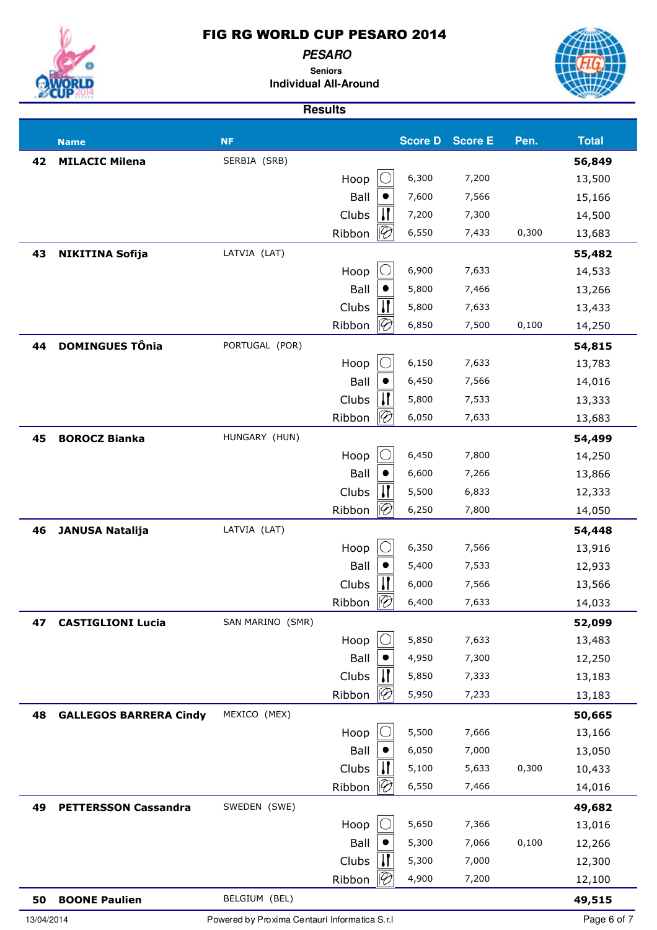**PESARO**



**Seniors Individual All-Around**



|            | <b>Name</b>                   | <b>NF</b>                                     |              |      | <b>Score D</b> | <b>Score E</b> | Pen.  | <b>Total</b>     |
|------------|-------------------------------|-----------------------------------------------|--------------|------|----------------|----------------|-------|------------------|
| 42         | <b>MILACIC Milena</b>         | SERBIA (SRB)                                  |              |      |                |                |       | 56,849           |
|            |                               |                                               | Hoop         |      | 6,300          | 7,200          |       | 13,500           |
|            |                               |                                               | Ball         |      | 7,600          | 7,566          |       | 15,166           |
|            |                               |                                               | Clubs        |      | 7,200          | 7,300          |       | 14,500           |
|            |                               |                                               | Ribbon       | 1192 | 6,550          | 7,433          | 0,300 | 13,683           |
| 43         | <b>NIKITINA Sofija</b>        | LATVIA (LAT)                                  |              |      |                |                |       | 55,482           |
|            |                               |                                               | Hoop         |      | 6,900          | 7,633          |       | 14,533           |
|            |                               |                                               | Ball         |      | 5,800          | 7,466          |       | 13,266           |
|            |                               |                                               | Clubs        |      | 5,800          | 7,633          |       | 13,433           |
|            |                               |                                               | Ribbon       |      | 6,850          | 7,500          | 0,100 | 14,250           |
| 44         | <b>DOMINGUES TÔnia</b>        | PORTUGAL (POR)                                |              |      |                |                |       | 54,815           |
|            |                               |                                               | Hoop         |      | 6,150          | 7,633          |       | 13,783           |
|            |                               |                                               | Ball         |      | 6,450          | 7,566          |       | 14,016           |
|            |                               |                                               | Clubs        |      | 5,800          | 7,533          |       | 13,333           |
|            |                               |                                               | Ribbon       |      | 6,050          | 7,633          |       | 13,683           |
| 45         | <b>BOROCZ Bianka</b>          | HUNGARY (HUN)                                 |              |      |                |                |       | 54,499           |
|            |                               |                                               | Hoop         |      | 6,450          | 7,800          |       | 14,250           |
|            |                               |                                               | Ball         |      | 6,600          | 7,266          |       | 13,866           |
|            |                               |                                               | Clubs        |      | 5,500          | 6,833          |       | 12,333           |
|            |                               |                                               | Ribbon       |      | 6,250          | 7,800          |       | 14,050           |
| 46         | <b>JANUSA Natalija</b>        | LATVIA (LAT)                                  |              |      |                |                |       | 54,448           |
|            |                               |                                               | Hoop         |      | 6,350          | 7,566          |       | 13,916           |
|            |                               |                                               | Ball         |      | 5,400          | 7,533          |       | 12,933           |
|            |                               |                                               | Clubs        |      | 6,000          | 7,566          |       | 13,566           |
|            |                               |                                               | Ribbon       |      | 6,400          | 7,633          |       | 14,033           |
| 47         | <b>CASTIGLIONI Lucia</b>      | SAN MARINO (SMR)                              |              |      |                |                |       | 52,099           |
|            |                               |                                               | Hoop         |      | 5,850          | 7,633          |       | 13,483           |
|            |                               |                                               | Ball         |      | 4,950          | 7,300          |       | 12,250           |
|            |                               |                                               | Clubs        |      | 5,850          | 7,333          |       | 13,183           |
|            |                               |                                               | Ribbon       |      | 5,950          | 7,233          |       | 13,183           |
| 48         | <b>GALLEGOS BARRERA Cindy</b> | MEXICO (MEX)                                  |              |      |                |                |       | 50,665           |
|            |                               |                                               | Hoop         |      | 5,500          | 7,666          |       | 13,166           |
|            |                               |                                               | Ball         |      | 6,050          | 7,000          |       | 13,050           |
|            |                               |                                               | Clubs        |      | 5,100          | 5,633          | 0,300 | 10,433           |
|            |                               |                                               | Ribbon       |      | 6,550          | 7,466          |       | 14,016           |
| 49         | <b>PETTERSSON Cassandra</b>   | SWEDEN (SWE)                                  |              |      |                |                |       | 49,682           |
|            |                               |                                               | Hoop<br>Ball |      | 5,650<br>5,300 | 7,366<br>7,066 | 0,100 | 13,016           |
|            |                               |                                               | Clubs        |      | 5,300          | 7,000          |       | 12,266<br>12,300 |
|            |                               |                                               | Ribbon       |      | 4,900          | 7,200          |       | 12,100           |
|            |                               |                                               |              |      |                |                |       |                  |
| 50         | <b>BOONE Paulien</b>          | BELGIUM (BEL)                                 |              |      |                |                |       | 49,515           |
| 13/04/2014 |                               | Powered by Proxima Centauri Informatica S.r.I |              |      |                |                |       | Page 6 of 7      |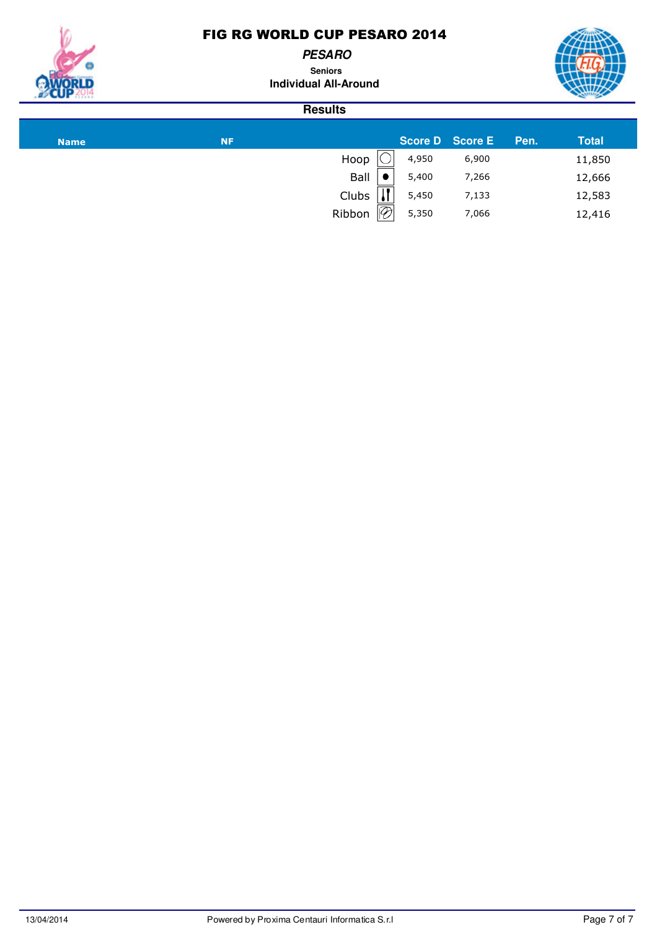**PESARO**

**Seniors Individual All-Around**



| <b>Name</b> | <b>NF</b> |                         |       | <b>Score D</b> Score E | Pen. | <b>Total</b> |
|-------------|-----------|-------------------------|-------|------------------------|------|--------------|
|             |           | Hoop                    | 4,950 | 6,900                  |      | 11,850       |
|             |           | Ball                    | 5,400 | 7,266                  |      | 12,666       |
|             |           | $\blacksquare$<br>Clubs | 5,450 | 7,133                  |      | 12,583       |
|             |           | $\mathcal{P}$<br>Ribbon | 5,350 | 7,066                  |      | 12,416       |
|             |           |                         |       |                        |      |              |

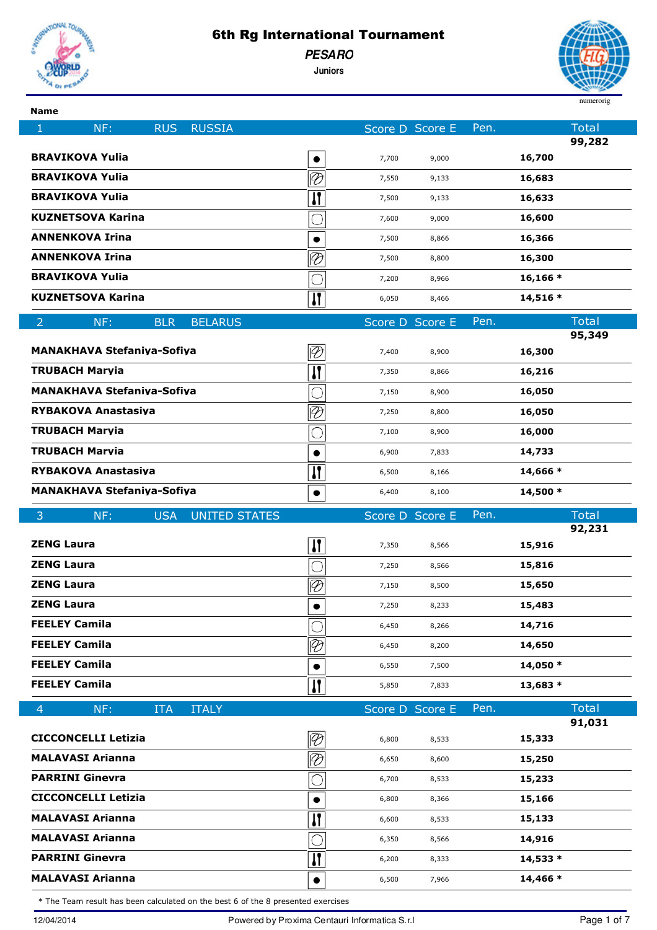

**PESARO**

**Juniors**



**Name**

| NF:<br><b>RUS</b><br><b>RUSSIA</b><br>1               |                                       | Score D Score E |                | Pen. | <b>Total</b><br>99,282 |
|-------------------------------------------------------|---------------------------------------|-----------------|----------------|------|------------------------|
| <b>BRAVIKOVA Yulia</b>                                |                                       | 7,700           | 9,000          |      | 16,700                 |
| <b>BRAVIKOVA Yulia</b>                                | $\overline{\varnothing}$              | 7,550           | 9,133          |      | 16,683                 |
| <b>BRAVIKOVA Yulia</b>                                | $\mathbf{I}$                          | 7,500           | 9,133          |      | 16,633                 |
| <b>KUZNETSOVA Karina</b>                              | $\overline{\bigcirc}$                 | 7,600           | 9,000          |      | 16,600                 |
| <b>ANNENKOVA Irina</b>                                |                                       | 7,500           | 8,866          |      | 16,366                 |
| <b>ANNENKOVA Irina</b>                                | $\overline{\mathscr{D}}$              | 7,500           | 8,800          |      | 16,300                 |
| <b>BRAVIKOVA Yulia</b>                                | O                                     | 7,200           | 8,966          |      | $16, 166*$             |
| <b>KUZNETSOVA Karina</b>                              | $\overline{\mathbf{u}}$               | 6,050           | 8,466          |      | $14,516*$              |
| $\overline{2}$<br>NF:<br><b>BLR</b><br><b>BELARUS</b> |                                       | Score D Score E |                | Pen. | <b>Total</b>           |
|                                                       |                                       |                 |                |      | 95,349                 |
| <b>MANAKHAVA Stefaniya-Sofiya</b>                     | $\overline{\mathcal{D}}$              | 7,400           | 8,900          |      | 16,300                 |
| <b>TRUBACH Marvia</b>                                 | $\overline{\mathbf{u}}$               | 7,350           | 8,866          |      | 16,216                 |
| <b>MANAKHAVA Stefaniya-Sofiya</b>                     |                                       | 7,150           | 8,900          |      | 16,050                 |
| <b>RYBAKOVA Anastasiva</b>                            | $\overline{\mathscr{D}}$              | 7,250           | 8,800          |      | 16,050                 |
| <b>TRUBACH Maryia</b>                                 |                                       | 7,100           | 8,900          |      | 16,000                 |
| <b>TRUBACH Maryia</b>                                 |                                       | 6,900           | 7,833          |      | 14,733                 |
| <b>RYBAKOVA Anastasiva</b>                            | $\mathbf{I}$                          | 6,500           | 8,166          |      | 14,666 *               |
| <b>MANAKHAVA Stefaniva-Sofiva</b>                     | $\bullet$                             | 6,400           | 8,100          |      | 14,500 *               |
|                                                       |                                       |                 |                |      |                        |
| <b>UNITED STATES</b><br>3<br>NF:<br><b>USA</b>        |                                       | Score D Score E |                | Pen. | <b>Total</b>           |
| <b>ZENG Laura</b>                                     |                                       |                 |                |      | 92,231                 |
| <b>ZENG Laura</b>                                     | $\mathbf{H}$                          | 7,350           | 8,566          |      | 15,916                 |
| <b>ZENG Laura</b>                                     |                                       | 7,250<br>7,150  | 8,566<br>8,500 |      | 15,816                 |
| <b>ZENG Laura</b>                                     | $\overline{\varnothing}$<br>$\bullet$ | 7,250           | 8,233          |      | 15,650<br>15,483       |
| <b>FEELEY Camila</b>                                  |                                       | 6,450           | 8,266          |      | 14,716                 |
| <b>FEELEY Camila</b>                                  |                                       | 6,450           | 8,200          |      | 14,650                 |
| <b>FEELEY Camila</b>                                  | $\overline{\mathscr{C}}$              | 6,550           | 7,500          |      | 14,050 *               |
| <b>FEELEY Camila</b>                                  |                                       | 5,850           | 7,833          |      | 13,683 *               |
|                                                       | И                                     |                 |                |      |                        |
| <b>ITALY</b><br>NF:<br><b>ITA</b><br>$\overline{4}$   |                                       | Score D Score E |                | Pen. | <b>Total</b><br>91,031 |
| <b>CICCONCELLI Letizia</b>                            | $\overline{\mathscr{D}}$              | 6,800           | 8,533          |      | 15,333                 |
| <b>MALAVASI Arianna</b>                               | $\overline{\vartheta}$                | 6,650           | 8,600          |      | 15,250                 |
| <b>PARRINI Ginevra</b>                                | O                                     | 6,700           | 8,533          |      | 15,233                 |
| <b>CICCONCELLI Letizia</b>                            |                                       | 6,800           | 8,366          |      | 15,166                 |
| <b>MALAVASI Arianna</b>                               | П                                     | 6,600           | 8,533          |      | 15,133                 |
| <b>MALAVASI Arianna</b>                               | О                                     | 6,350           | 8,566          |      | 14,916                 |
| <b>PARRINI Ginevra</b>                                | П                                     | 6,200           | 8,333          |      | 14,533 *               |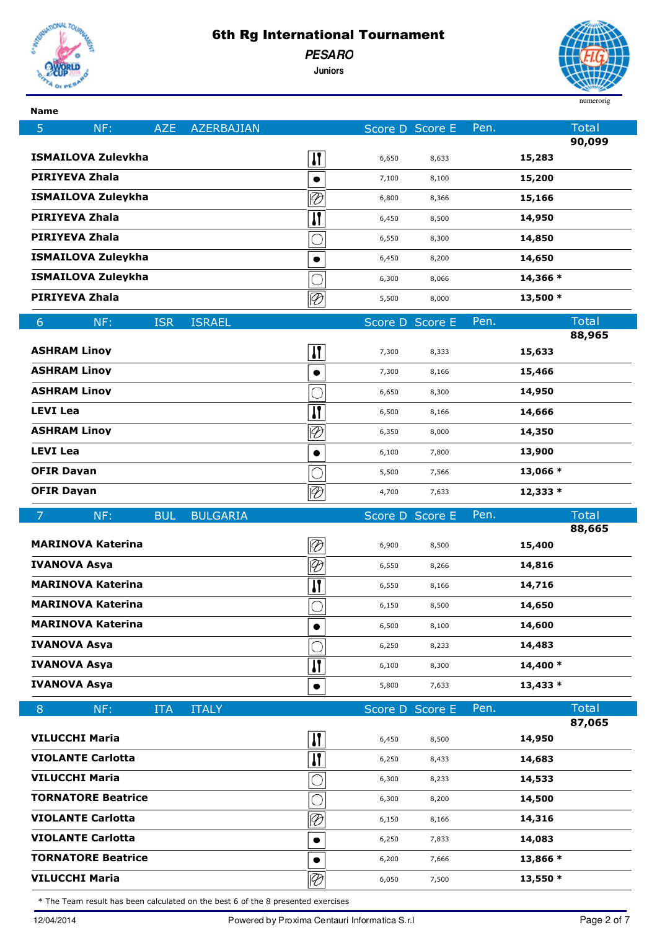

**Name**

### 6th Rg International Tournament

**PESARO**

5 NF: AZE AZERBAJIAN Score D Score E Pen. Total

**Juniors**



**90,099**

**88,965**

**88,665**

**87,065**

|                                                                                  |                 |                             |                 |       |      |                      | 90,09                 |
|----------------------------------------------------------------------------------|-----------------|-----------------------------|-----------------|-------|------|----------------------|-----------------------|
| ISMAILOVA Zulevkha                                                               |                 | 11                          | 6,650           | 8,633 |      | 15,283               |                       |
| PIRIYEVA Zhala                                                                   |                 |                             | 7,100           | 8,100 |      | 15,200               |                       |
| ISMAILOVA Zulevkha                                                               |                 | $\lvert \mathcal{D} \rvert$ | 6,800           | 8,366 |      | 15,166               |                       |
| PIRIYEVA Zhala                                                                   |                 | $\mathbf{I}$                | 6,450           | 8,500 |      | 14,950               |                       |
| PIRIYEVA Zhala                                                                   |                 |                             | 6,550           | 8,300 |      | 14,850               |                       |
| ISMAILOVA Zulevkha                                                               |                 |                             | 6,450           | 8,200 |      | 14,650               |                       |
| ISMAILOVA Zuleykha                                                               |                 |                             | 6,300           | 8,066 |      | 14,366 *             |                       |
| PIRIYEVA Zhala                                                                   |                 | $\overline{\mathcal{P}}$    | 5,500           | 8,000 |      | $13,500*$            |                       |
| <b>ISR</b><br>6<br>NF:                                                           | <b>ISRAEL</b>   |                             | Score D Score E |       | Pen. |                      | <b>Total</b>          |
| <b>ASHRAM Linov</b>                                                              |                 | Ш                           | 7,300           | 8,333 |      | 15,633               | 88,96                 |
| <b>ASHRAM Linov</b>                                                              |                 |                             | 7,300           | 8,166 |      | 15,466               |                       |
| <b>ASHRAM Linov</b>                                                              |                 |                             |                 |       |      | 14,950               |                       |
| <b>LEVI Lea</b>                                                                  |                 | $\mathbf{I}$                | 6,650           | 8,300 |      | 14,666               |                       |
| <b>ASHRAM Linov</b>                                                              |                 |                             | 6,500           | 8,166 |      | 14,350               |                       |
| <b>LEVI Lea</b>                                                                  |                 | $\oslash$                   | 6,350           | 8,000 |      |                      |                       |
| <b>OFIR Davan</b>                                                                |                 |                             | 6,100           | 7,800 |      | 13,900               |                       |
| <b>OFIR Davan</b>                                                                |                 |                             | 5,500           | 7,566 |      | 13,066 *<br>12,333 * |                       |
|                                                                                  |                 | $\overline{\mathcal{D}}$    | 4,700           | 7,633 |      |                      |                       |
| $\overline{7}$<br><b>BUL</b><br>NF:                                              | <b>BULGARIA</b> |                             | Score D Score E |       | Pen. |                      | <b>Total</b><br>88,66 |
| <b>MARINOVA Katerina</b>                                                         |                 | $\overline{\varnothing}$    | 6,900           | 8,500 |      | 15,400               |                       |
| IVANOVA Asva                                                                     |                 | $\overline{\mathcal{P}}$    | 6,550           | 8,266 |      | 14,816               |                       |
| <b>MARINOVA Katerina</b>                                                         |                 | IJ                          | 6,550           | 8,166 |      | 14,716               |                       |
| <b>MARINOVA Katerina</b>                                                         |                 |                             | 6,150           | 8,500 |      | 14,650               |                       |
| <b>MARINOVA Katerina</b>                                                         |                 |                             | 6,500           | 8,100 |      | 14,600               |                       |
| <b>IVANOVA Asva</b>                                                              |                 |                             | 6,250           | 8,233 |      | 14,483               |                       |
| IVANOVA Asva                                                                     |                 | 11                          | 6,100           | 8,300 |      | 14,400 *             |                       |
| <b>IVANOVA Asva</b>                                                              |                 | $\bullet$                   | 5,800           | 7,633 |      | $13,433*$            |                       |
| 8<br>NF:<br><b>ITA</b>                                                           | <b>ITALY</b>    |                             | Score D Score E |       | Pen. |                      | <b>Total</b>          |
| VILUCCHI Maria                                                                   |                 | П                           | 6,450           | 8,500 |      | 14,950               | 87,06                 |
| <b>VIOLANTE Carlotta</b>                                                         |                 | П                           | 6,250           | 8,433 |      | 14,683               |                       |
| <b>VILUCCHI Maria</b>                                                            |                 |                             | 6,300           | 8,233 |      | 14,533               |                       |
| <b>TORNATORE Beatrice</b>                                                        |                 |                             | 6,300           | 8,200 |      | 14,500               |                       |
| <b>VIOLANTE Carlotta</b>                                                         |                 | $\overline{\varnothing}$    | 6,150           | 8,166 |      | 14,316               |                       |
| <b>VIOLANTE Carlotta</b>                                                         |                 |                             | 6,250           | 7,833 |      | 14,083               |                       |
| <b>TORNATORE Beatrice</b>                                                        |                 |                             | 6,200           | 7,666 |      | 13,866 *             |                       |
| <b>VILUCCHI Maria</b>                                                            |                 | $\overline{\mathcal{P}}$    | 6,050           | 7,500 |      | 13,550 *             |                       |
| * The Team result has been calculated on the best 6 of the 8 presented exercises |                 |                             |                 |       |      |                      |                       |
|                                                                                  |                 |                             |                 |       |      |                      |                       |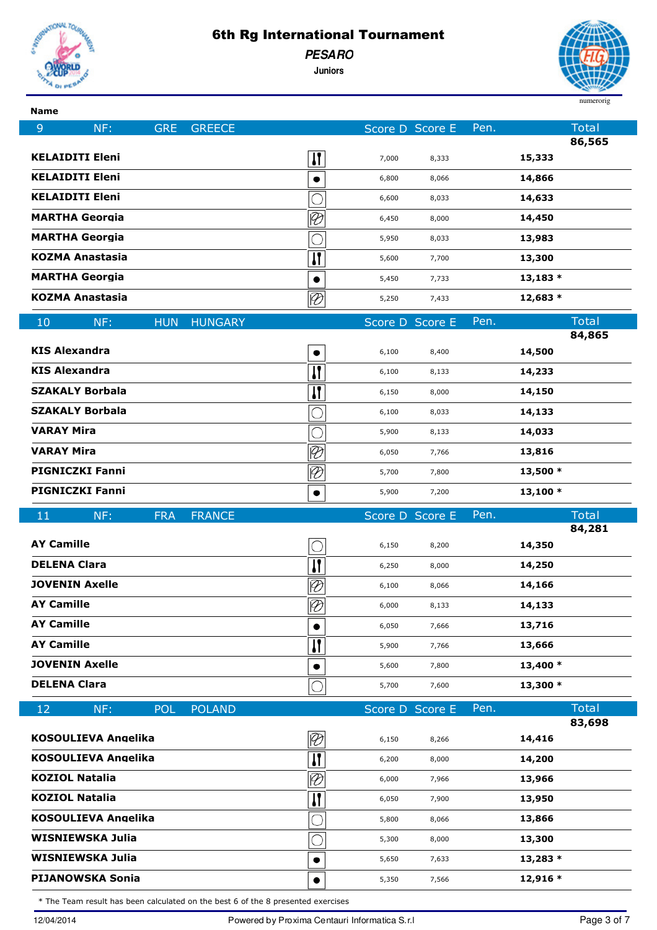

**PESARO**

**Juniors**



| <b>Name</b>            |                                                    |            |                |                          |                 |                |      |                        |
|------------------------|----------------------------------------------------|------------|----------------|--------------------------|-----------------|----------------|------|------------------------|
| 9                      | NF:                                                | <b>GRE</b> | <b>GREECE</b>  |                          | Score D Score E |                | Pen. | <b>Total</b>           |
| <b>KELAIDITI Eleni</b> |                                                    |            |                |                          |                 |                |      | 86,565<br>15,333       |
| <b>KELAIDITI Eleni</b> |                                                    |            |                | И                        | 7,000           | 8,333          |      | 14,866                 |
| <b>KELAIDITI Eleni</b> |                                                    |            |                | $\bullet$                | 6,800           | 8,066          |      | 14,633                 |
| <b>MARTHA Georgia</b>  |                                                    |            |                | $\overline{\varnothing}$ | 6,600<br>6,450  | 8,033<br>8,000 |      | 14,450                 |
| <b>MARTHA Georgia</b>  |                                                    |            |                | С                        | 5,950           | 8,033          |      | 13,983                 |
| <b>KOZMA Anastasia</b> |                                                    |            |                | П                        | 5,600           | 7,700          |      | 13,300                 |
| <b>MARTHA Georgia</b>  |                                                    |            |                | $\bullet$                | 5,450           | 7,733          |      | $13,183*$              |
| <b>KOZMA Anastasia</b> |                                                    |            |                | $\oslash$                | 5,250           | 7,433          |      | $12,683*$              |
|                        |                                                    |            |                |                          |                 |                |      |                        |
| 10                     | NF:                                                | <b>HUN</b> | <b>HUNGARY</b> |                          | Score D Score E |                | Pen. | <b>Total</b><br>84,865 |
| <b>KIS Alexandra</b>   |                                                    |            |                | ٠                        | 6,100           | 8,400          |      | 14,500                 |
| <b>KIS Alexandra</b>   |                                                    |            |                | $\mathbf{I}$             | 6,100           | 8,133          |      | 14,233                 |
| <b>SZAKALY Borbala</b> |                                                    |            |                | П                        | 6,150           | 8,000          |      | 14,150                 |
| <b>SZAKALY Borbala</b> |                                                    |            |                |                          | 6,100           | 8,033          |      | 14,133                 |
| <b>VARAY Mira</b>      |                                                    |            |                | O                        | 5,900           | 8,133          |      | 14,033                 |
| <b>VARAY Mira</b>      |                                                    |            |                | $\overline{\varnothing}$ | 6,050           | 7,766          |      | 13,816                 |
| <b>PIGNICZKI Fanni</b> |                                                    |            |                | $\overline{\varnothing}$ | 5,700           | 7,800          |      | $13,500*$              |
| <b>PIGNICZKI Fanni</b> |                                                    |            |                | $\bullet$                | 5,900           | 7,200          |      | $13,100*$              |
|                        |                                                    |            |                |                          |                 |                |      |                        |
| 11                     | NF:                                                | <b>FRA</b> | <b>FRANCE</b>  |                          | Score D Score E |                | Pen. | <b>Total</b>           |
|                        |                                                    |            |                |                          |                 |                |      | 84,281                 |
| <b>AY Camille</b>      |                                                    |            |                | О                        | 6,150           | 8,200          |      | 14,350                 |
| <b>DELENA Clara</b>    |                                                    |            |                | П                        | 6,250           | 8,000          |      | 14,250                 |
| <b>JOVENIN Axelle</b>  |                                                    |            |                | $\overline{\varnothing}$ | 6,100           | 8,066          |      | 14,166                 |
| <b>AY Camille</b>      |                                                    |            |                | $\overline{\varnothing}$ | 6,000           | 8,133          |      | 14,133                 |
| <b>AY Camille</b>      |                                                    |            |                | $\bullet$                | 6,050           | 7,666          |      | 13,716                 |
| <b>AY Camille</b>      |                                                    |            |                | П                        | 5,900           | 7,766          |      | 13,666                 |
| <b>JOVENIN Axelle</b>  |                                                    |            |                |                          | 5,600           | 7,800          |      | 13,400 *               |
| <b>DELENA Clara</b>    |                                                    |            |                |                          | 5,700           | 7,600          |      | 13,300 *               |
| 12                     | NF:                                                | POL:       | <b>POLAND</b>  |                          | Score D Score E |                | Pen. | <b>Total</b>           |
|                        |                                                    |            |                |                          |                 |                |      | 83,698                 |
|                        | <b>KOSOULIEVA Angelika</b>                         |            |                | Ø                        | 6,150           | 8,266          |      | 14,416                 |
|                        | <b>KOSOULIEVA Angelika</b>                         |            |                | П                        | 6,200           | 8,000          |      | 14,200                 |
| <b>KOZIOL Natalia</b>  |                                                    |            |                | $\overline{\varnothing}$ | 6,000           | 7,966          |      | 13,966                 |
| <b>KOZIOL Natalia</b>  |                                                    |            |                | И                        | 6,050           | 7,900          |      | 13,950                 |
|                        | <b>KOSOULIEVA Angelika</b>                         |            |                |                          | 5,800           | 8,066          |      | 13,866                 |
|                        | <b>WISNIEWSKA Julia</b>                            |            |                |                          | 5,300           | 8,000          |      | 13,300                 |
|                        | <b>WISNIEWSKA Julia</b><br><b>PIJANOWSKA Sonia</b> |            |                | $\bullet$<br>$\bullet$   | 5,650<br>5,350  | 7,633<br>7,566 |      | $13,283*$<br>12,916 *  |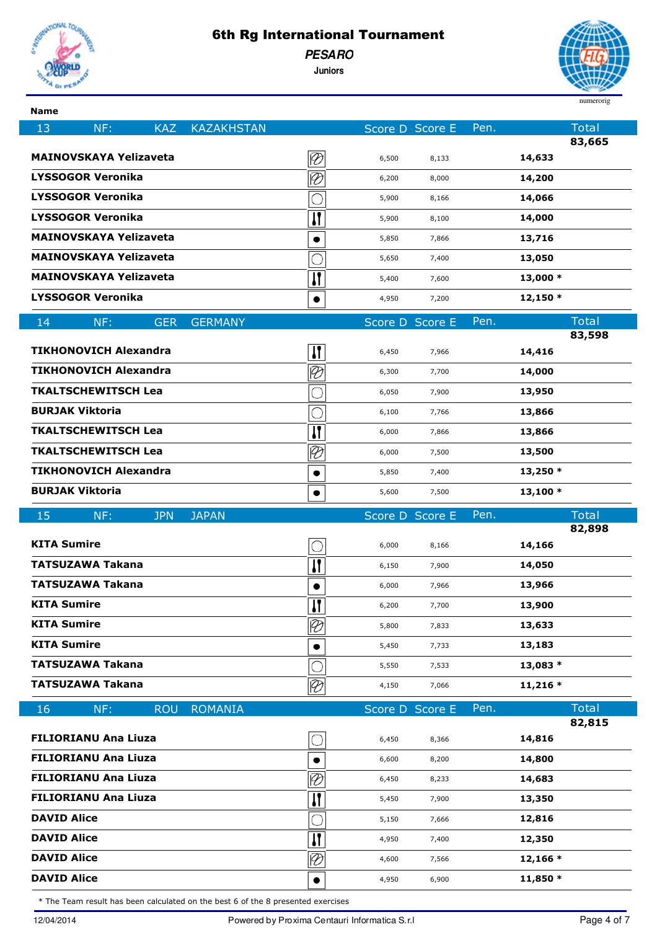

 $\overline{\phantom{a}}$ 

## 6th Rg International Tournament

**PESARO**

**Juniors**



| <b>Name</b>            |                               |            |                   |                               |                 |       |      |                  |
|------------------------|-------------------------------|------------|-------------------|-------------------------------|-----------------|-------|------|------------------|
| 13                     | NF:                           | <b>KAZ</b> | <b>KAZAKHSTAN</b> |                               | Score D Score E |       | Pen. | <b>Total</b>     |
|                        | <b>MAINOVSKAYA Yelizaveta</b> |            |                   | $\lvert \mathcal{D} \rvert$   | 6,500           | 8,133 |      | 83,665<br>14,633 |
|                        | <b>LYSSOGOR Veronika</b>      |            |                   | $\overline{\varnothing}$      | 6,200           | 8,000 |      | 14,200           |
|                        | <b>LYSSOGOR Veronika</b>      |            |                   |                               | 5,900           | 8,166 |      | 14,066           |
|                        | <b>LYSSOGOR Veronika</b>      |            |                   | И                             | 5,900           | 8,100 |      | 14,000           |
|                        | <b>MAINOVSKAYA Yelizaveta</b> |            |                   | $\bullet$                     | 5,850           | 7,866 |      | 13,716           |
|                        | <b>MAINOVSKAYA Yelizaveta</b> |            |                   |                               | 5,650           | 7,400 |      | 13,050           |
|                        | <b>MAINOVSKAYA Yelizaveta</b> |            |                   | И                             | 5,400           | 7,600 |      | 13,000 *         |
|                        | <b>LYSSOGOR Veronika</b>      |            |                   | $\bullet$                     | 4,950           | 7,200 |      | 12,150 *         |
| 14                     | NF:                           | <b>GER</b> | <b>GERMANY</b>    |                               | Score D Score E |       | Pen. | <b>Total</b>     |
|                        |                               |            |                   |                               |                 |       |      | 83,598           |
|                        | <b>TIKHONOVICH Alexandra</b>  |            |                   | И                             | 6,450           | 7,966 |      | 14,416           |
|                        | <b>TIKHONOVICH Alexandra</b>  |            |                   | $\overline{\varnothing}$      | 6,300           | 7,700 |      | 14,000           |
|                        | <b>TKALTSCHEWITSCH Lea</b>    |            |                   |                               | 6,050           | 7,900 |      | 13,950           |
| <b>BURJAK Viktoria</b> |                               |            |                   |                               | 6,100           | 7,766 |      | 13,866           |
|                        | <b>TKALTSCHEWITSCH Lea</b>    |            |                   | $\overline{\mathbf{H}}$       | 6,000           | 7,866 |      | 13,866           |
|                        | <b>TKALTSCHEWITSCH Lea</b>    |            |                   | $\overline{\varnothing}$      | 6,000           | 7,500 |      | 13,500           |
|                        | <b>TIKHONOVICH Alexandra</b>  |            |                   |                               | 5,850           | 7,400 |      | $13,250*$        |
| <b>BURJAK Viktoria</b> |                               |            |                   | $\bullet$                     | 5,600           | 7,500 |      | $13,100*$        |
|                        |                               |            |                   |                               |                 |       |      |                  |
| 15                     | NF:                           | <b>JPN</b> | <b>JAPAN</b>      |                               | Score D Score E |       | Pen. | <b>Total</b>     |
|                        |                               |            |                   |                               |                 |       |      | 82,898           |
| <b>KITA Sumire</b>     |                               |            |                   |                               | 6,000           | 8,166 |      | 14,166           |
|                        | <b>TATSUZAWA Takana</b>       |            |                   | И                             | 6,150           | 7,900 |      | 14,050           |
|                        | <b>TATSUZAWA Takana</b>       |            |                   | $\bullet$                     | 6,000           | 7,966 |      | 13,966           |
| <b>KITA Sumire</b>     |                               |            |                   | Ш                             | 6,200           | 7,700 |      | 13,900           |
| <b>KITA Sumire</b>     |                               |            |                   | $\overline{\mathscr{D}}$      | 5,800           | 7,833 |      | 13,633           |
| <b>KITA Sumire</b>     |                               |            |                   |                               | 5,450           | 7,733 |      | 13,183           |
|                        | <b>TATSUZAWA Takana</b>       |            |                   |                               | 5,550           | 7,533 |      | 13,083 *         |
|                        | <b>TATSUZAWA Takana</b>       |            |                   | $\overline{\varnothing}$      | 4,150           | 7,066 |      | $11,216*$        |
| 16                     | NF:                           | <b>ROU</b> | <b>ROMANIA</b>    |                               | Score D Score E |       | Pen. | <b>Total</b>     |
|                        | <b>FILIORIANU Ana Liuza</b>   |            |                   |                               | 6,450           | 8,366 |      | 82,815<br>14,816 |
|                        | <b>FILIORIANU Ana Liuza</b>   |            |                   |                               | 6,600           | 8,200 |      | 14,800           |
|                        | <b>FILIORIANU Ana Liuza</b>   |            |                   |                               | 6,450           | 8,233 |      | 14,683           |
|                        | <b>FILIORIANU Ana Liuza</b>   |            |                   | $\overline{\mathscr{D}}$      | 5,450           | 7,900 |      | 13,350           |
| <b>DAVID Alice</b>     |                               |            |                   | П                             | 5,150           | 7,666 |      | 12,816           |
| <b>DAVID Alice</b>     |                               |            |                   |                               | 4,950           | 7,400 |      | 12,350           |
| <b>DAVID Alice</b>     |                               |            |                   | П<br>$\overline{\varnothing}$ | 4,600           | 7,566 |      | $12,166*$        |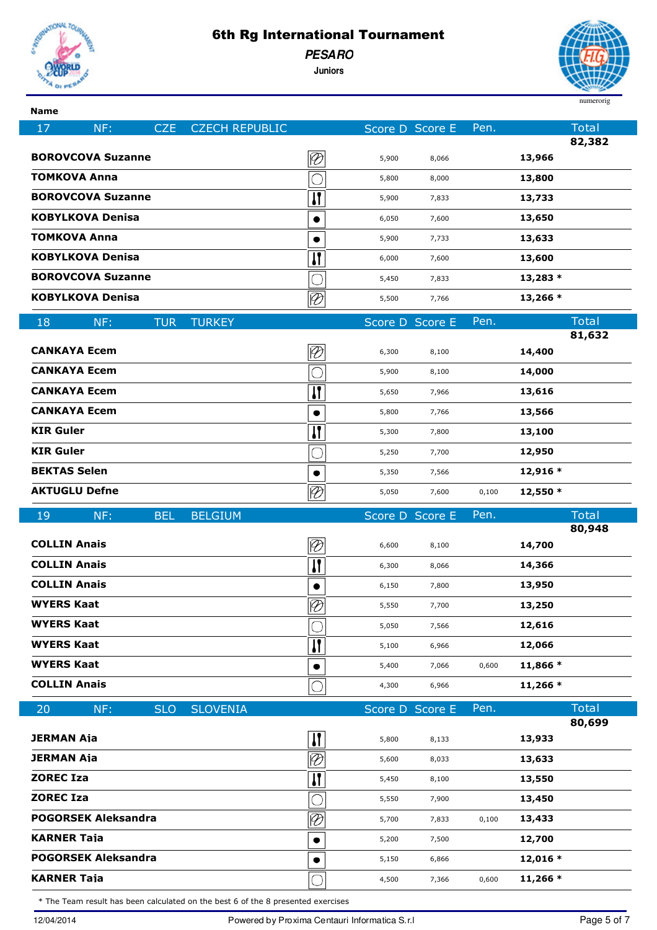

**PESARO**

**Juniors**



| ×<br>.,<br>۰. | × |
|---------------|---|

| <b>CZECH REPUBLIC</b><br>17<br>NF:<br><b>CZE</b> |                             | Score D Score E |       | Pen.  | <b>Total</b>           |
|--------------------------------------------------|-----------------------------|-----------------|-------|-------|------------------------|
|                                                  |                             |                 |       |       | 82,382                 |
| <b>BOROVCOVA Suzanne</b>                         | $\overline{\vartheta}$      | 5,900           | 8,066 |       | 13,966                 |
| <b>TOMKOVA Anna</b>                              |                             | 5,800           | 8,000 |       | 13,800                 |
| <b>BOROVCOVA Suzanne</b>                         | $\mathbf{I}$                | 5,900           | 7,833 |       | 13,733                 |
| <b>KOBYLKOVA Denisa</b>                          | $\bullet$                   | 6,050           | 7,600 |       | 13,650                 |
| <b>TOMKOVA Anna</b>                              |                             | 5,900           | 7,733 |       | 13,633                 |
| <b>KOBYLKOVA Denisa</b>                          | $\mathbf{I}$                | 6,000           | 7,600 |       | 13,600                 |
| <b>BOROVCOVA Suzanne</b>                         | $\overline{\bigcirc}$       | 5,450           | 7,833 |       | $13,283*$              |
| <b>KOBYLKOVA Denisa</b>                          | $\overline{\mathcal{D}}$    | 5,500           | 7,766 |       | 13,266 *               |
| 18<br><b>TURKEY</b><br>NF:<br><b>TUR</b>         |                             | Score D Score E |       | Pen.  | <b>Total</b><br>81,632 |
| <b>CANKAYA Ecem</b>                              | $\overline{\mathscr{D}}$    | 6,300           | 8,100 |       | 14,400                 |
| <b>CANKAYA Ecem</b>                              |                             | 5,900           | 8,100 |       | 14,000                 |
| <b>CANKAYA Ecem</b>                              | $\mathbf{I}$                | 5,650           | 7,966 |       | 13,616                 |
| <b>CANKAYA Ecem</b>                              | $\bullet$                   | 5,800           | 7,766 |       | 13,566                 |
| <b>KIR Guler</b>                                 | $\overline{\mathbf{u}}$     | 5,300           | 7,800 |       | 13,100                 |
| <b>KIR Guler</b>                                 |                             | 5,250           | 7,700 |       | 12,950                 |
| <b>BEKTAS Selen</b>                              | $\bullet$                   | 5,350           | 7,566 |       | 12,916 *               |
| <b>AKTUGLU Defne</b>                             | $\overline{\mathcal{P}}$    | 5,050           | 7,600 | 0,100 | 12,550 *               |
|                                                  |                             |                 |       |       |                        |
|                                                  |                             |                 |       | Pen.  | <b>Total</b>           |
| 19<br>NF:<br><b>BEL</b><br><b>BELGIUM</b>        |                             | Score D Score E |       |       | 80,948                 |
| <b>COLLIN Anais</b>                              | $\overline{\mathscr{D}}$    | 6,600           | 8,100 |       | 14,700                 |
| <b>COLLIN Anais</b>                              | И                           | 6,300           | 8,066 |       | 14,366                 |
| <b>COLLIN Anais</b>                              |                             | 6,150           | 7,800 |       | 13,950                 |
| <b>WYERS Kaat</b>                                | $\overline{\varphi}$<br>∟∽∟ | 5,550           | 7,700 |       | 13,250                 |
| <b>WYERS Kaat</b>                                |                             | 5,050           | 7,566 |       | 12,616                 |
| <b>WYERS Kaat</b>                                | П                           | 5,100           | 6,966 |       | 12,066                 |
| <b>WYERS Kaat</b>                                |                             | 5,400           | 7,066 | 0,600 | 11,866 *               |
| <b>COLLIN Anais</b>                              | O                           | 4,300           | 6,966 |       | $11,266*$              |
| 20<br>NF:<br><b>SLO</b><br><b>SLOVENIA</b>       |                             | Score D Score E |       | Pen.  | <b>Total</b>           |
| <b>JERMAN Aja</b>                                |                             | 5,800           | 8,133 |       | 80,699<br>13,933       |
| <b>JERMAN Aja</b>                                | $\overline{\mathbf{u}}$     | 5,600           | 8,033 |       | 13,633                 |
| <b>ZOREC Iza</b>                                 | $\overline{\mathscr{D}}$    | 5,450           | 8,100 |       | 13,550                 |
| <b>ZOREC Iza</b>                                 | $\mathbf{H}$<br>О           | 5,550           | 7,900 |       | 13,450                 |
| <b>POGORSEK Aleksandra</b>                       |                             | 5,700           | 7,833 | 0,100 | 13,433                 |
| <b>KARNER Taja</b>                               | $\overline{\varnothing}$    | 5,200           | 7,500 |       | 12,700                 |
| <b>POGORSEK Aleksandra</b>                       | $\bullet$                   | 5,150           | 6,866 |       | $12,016*$              |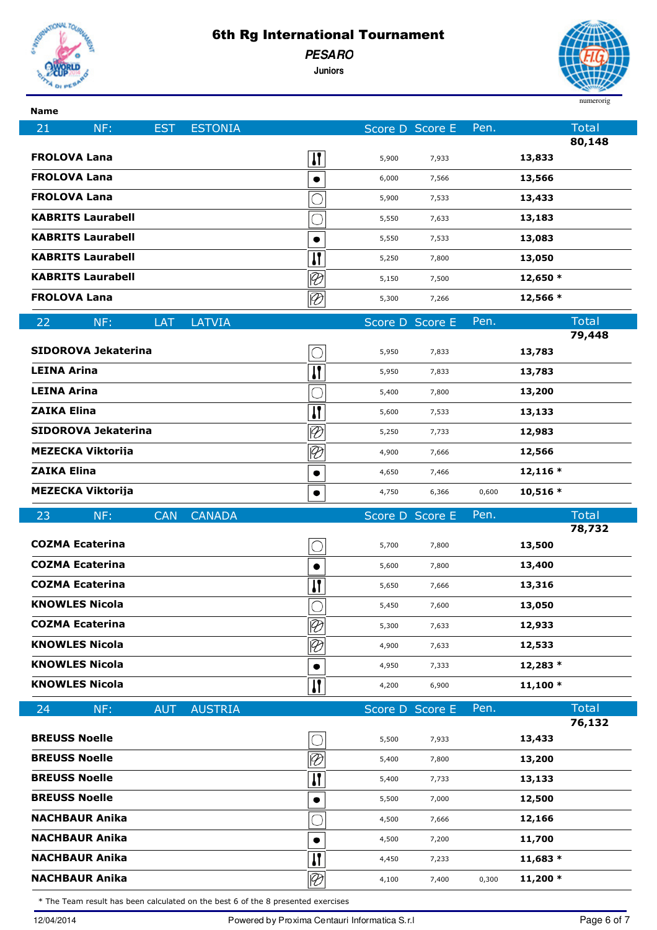

**Name**

## 6th Rg International Tournament

**PESARO**

**Juniors**



| маше                                           |                          |                                                 |                 |       |                        |  |
|------------------------------------------------|--------------------------|-------------------------------------------------|-----------------|-------|------------------------|--|
| NF:<br>21<br><b>EST</b>                        | <b>ESTONIA</b>           |                                                 | Score D Score E | Pen.  | <b>Total</b><br>80,148 |  |
| <b>FROLOVA Lana</b>                            |                          | $\mathbf{I}$<br>5,900                           | 7,933           |       | 13,833                 |  |
| <b>FROLOVA Lana</b>                            |                          | 6,000                                           | 7,566           |       | 13,566                 |  |
| <b>FROLOVA Lana</b>                            |                          | 5,900                                           | 7,533           |       | 13,433                 |  |
| <b>KABRITS Laurabell</b>                       |                          | 5,550                                           | 7,633           |       | 13,183                 |  |
| <b>KABRITS Laurabell</b>                       |                          | 5,550                                           | 7,533           |       | 13,083                 |  |
| <b>KABRITS Laurabell</b>                       |                          | $\mathbf{I}$<br>5,250                           | 7,800           |       | 13,050                 |  |
| <b>KABRITS Laurabell</b>                       | $\overline{\varnothing}$ | 5,150                                           | 7,500           |       | 12,650 *               |  |
| <b>FROLOVA Lana</b>                            | $\overline{\mathcal{P}}$ | 5,300                                           | 7,266           |       | 12,566 *               |  |
| LAT<br>22<br>NF:                               | <b>LATVIA</b>            |                                                 | Score D Score E | Pen.  | <b>Total</b>           |  |
|                                                |                          |                                                 |                 |       | 79,448                 |  |
| <b>SIDOROVA Jekaterina</b>                     |                          | 5,950                                           | 7,833           |       | 13,783                 |  |
| <b>LEINA Arina</b>                             |                          | И<br>5,950                                      | 7,833           |       | 13,783                 |  |
| <b>LEINA Arina</b>                             |                          | 5,400                                           | 7,800           |       | 13,200                 |  |
| <b>ZAIKA Elina</b>                             |                          | П<br>5,600                                      | 7,533           |       | 13,133                 |  |
| <b>SIDOROVA Jekaterina</b>                     | $\overline{\varnothing}$ | 5,250                                           | 7,733           |       | 12,983                 |  |
| <b>MEZECKA Viktorija</b>                       | $\overline{\mathscr{C}}$ | 4,900                                           | 7,666           |       | 12,566                 |  |
| <b>ZAIKA Elina</b><br><b>MEZECKA Viktorija</b> |                          | 4,650                                           | 7,466           |       | $12,116*$              |  |
|                                                |                          | 4,750                                           | 6,366           | 0,600 | 10,516 *               |  |
|                                                |                          |                                                 |                 |       |                        |  |
| 23<br>NF:<br><b>CAN</b>                        | <b>CANADA</b>            |                                                 | Score D Score E | Pen.  | <b>Total</b>           |  |
| <b>COZMA Ecaterina</b>                         |                          | 5,700                                           | 7,800           |       | 78,732<br>13,500       |  |
| <b>COZMA Ecaterina</b>                         |                          | 5,600                                           | 7,800           |       | 13,400                 |  |
| <b>COZMA Ecaterina</b>                         |                          | $\mathbf{I}$<br>5,650                           | 7,666           |       | 13,316                 |  |
| <b>KNOWLES Nicola</b>                          |                          | $\overline{\bigcap}$<br>5,450                   | 7,600           |       | 13,050                 |  |
| <b>COZMA Ecaterina</b>                         | $\overline{\varnothing}$ | 5,300                                           | 7,633           |       | 12,933                 |  |
| <b>KNOWLES Nicola</b>                          | $\overline{\mathscr{C}}$ | 4,900                                           | 7,633           |       | 12,533                 |  |
| <b>KNOWLES Nicola</b>                          |                          | $\bullet$<br>4,950                              | 7,333           |       | 12,283 *               |  |
| <b>KNOWLES Nicola</b>                          |                          | $\mathbf{I}$<br>4,200                           | 6,900           |       | $11,100*$              |  |
| NF:<br><b>AUT</b><br>24                        | <b>AUSTRIA</b>           |                                                 | Score D Score E | Pen.  | <b>Total</b>           |  |
|                                                |                          |                                                 |                 |       | 76,132                 |  |
| <b>BREUSS Noelle</b>                           |                          | 5,500                                           | 7,933           |       | 13,433                 |  |
| <b>BREUSS Noelle</b>                           | $\overline{\mathscr{C}}$ | 5,400                                           | 7,800           |       | 13,200                 |  |
| <b>BREUSS Noelle</b>                           |                          | И<br>5,400                                      | 7,733           |       | 13,133                 |  |
| <b>BREUSS Noelle</b>                           |                          | 5,500                                           | 7,000           |       | 12,500                 |  |
| <b>NACHBAUR Anika</b>                          |                          | 4,500                                           | 7,666           |       | 12,166                 |  |
| <b>NACHBAUR Anika</b>                          |                          | 4,500                                           | 7,200           |       | 11,700                 |  |
| <b>NACHBAUR Anika</b><br><b>NACHBAUR Anika</b> |                          | И<br>4,450<br>$\overline{\mathscr{D}}$<br>4,100 | 7,233<br>7,400  | 0,300 | $11,683*$<br>$11,200*$ |  |